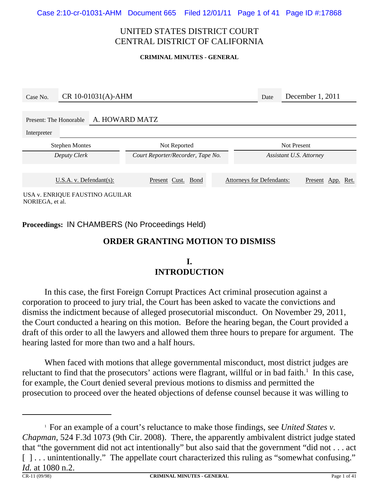Case 2:10-cr-01031-AHM Document 665 Filed 12/01/11 Page 1 of 41 Page ID #:17868

#### UNITED STATES DISTRICT COURT CENTRAL DISTRICT OF CALIFORNIA

#### **CRIMINAL MINUTES - GENERAL**

| Case No.                                 | CR 10-01031(A)-AHM |  |                                   |  |                         |                                  | December 1, 2011  |  |  |
|------------------------------------------|--------------------|--|-----------------------------------|--|-------------------------|----------------------------------|-------------------|--|--|
| A. HOWARD MATZ<br>Present: The Honorable |                    |  |                                   |  |                         |                                  |                   |  |  |
| Interpreter<br><b>Stephen Montes</b>     |                    |  | Not Reported                      |  | <b>Not Present</b>      |                                  |                   |  |  |
| Deputy Clerk                             |                    |  | Court Reporter/Recorder, Tape No. |  | Assistant U.S. Attorney |                                  |                   |  |  |
|                                          |                    |  |                                   |  |                         |                                  |                   |  |  |
| U.S.A. v. Defendant(s):                  |                    |  | Present Cust. Bond                |  |                         | <b>Attorneys for Defendants:</b> | Present App. Ret. |  |  |
| USA v. ENRIQUE FAUSTINO AGUILAR          |                    |  |                                   |  |                         |                                  |                   |  |  |

NORIEGA, et al.

**Proceedings:** IN CHAMBERS (No Proceedings Held)

#### **ORDER GRANTING MOTION TO DISMISS**

## **I. INTRODUCTION**

In this case, the first Foreign Corrupt Practices Act criminal prosecution against a corporation to proceed to jury trial, the Court has been asked to vacate the convictions and dismiss the indictment because of alleged prosecutorial misconduct. On November 29, 2011, the Court conducted a hearing on this motion. Before the hearing began, the Court provided a draft of this order to all the lawyers and allowed them three hours to prepare for argument. The hearing lasted for more than two and a half hours.

When faced with motions that allege governmental misconduct, most district judges are reluctant to find that the prosecutors' actions were flagrant, willful or in bad faith.<sup>1</sup> In this case, for example, the Court denied several previous motions to dismiss and permitted the prosecution to proceed over the heated objections of defense counsel because it was willing to

<sup>1</sup> For an example of a court's reluctance to make those findings, see *United States v. Chapman*, 524 F.3d 1073 (9th Cir. 2008). There, the apparently ambivalent district judge stated that "the government did not act intentionally" but also said that the government "did not . . . act [] . . . unintentionally." The appellate court characterized this ruling as "somewhat confusing." *Id.* at 1080 n.2. **CRIMINAL MINUTES - GENERAL Page 1 of 41**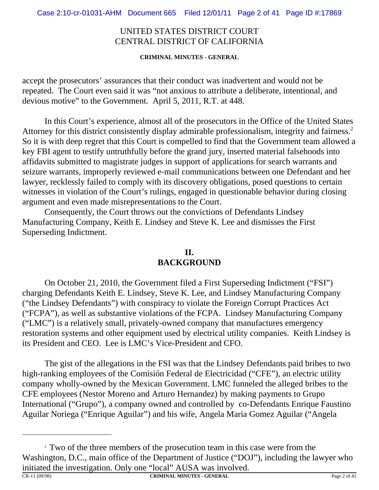**CRIMINAL MINUTES - GENERAL**

accept the prosecutors' assurances that their conduct was inadvertent and would not be repeated. The Court even said it was "not anxious to attribute a deliberate, intentional, and devious motive" to the Government. April 5, 2011, R.T. at 448.

In this Court's experience, almost all of the prosecutors in the Office of the United States Attorney for this district consistently display admirable professionalism, integrity and fairness.<sup>2</sup> So it is with deep regret that this Court is compelled to find that the Government team allowed a key FBI agent to testify untruthfully before the grand jury, inserted material falsehoods into affidavits submitted to magistrate judges in support of applications for search warrants and seizure warrants, improperly reviewed e-mail communications between one Defendant and her lawyer, recklessly failed to comply with its discovery obligations, posed questions to certain witnesses in violation of the Court's rulings, engaged in questionable behavior during closing argument and even made misrepresentations to the Court.

Consequently, the Court throws out the convictions of Defendants Lindsey Manufacturing Company, Keith E. Lindsey and Steve K. Lee and dismisses the First Superseding Indictment.

## **II. BACKGROUND**

On October 21, 2010, the Government filed a First Superseding Indictment ("FSI") charging Defendants Keith E. Lindsey, Steve K. Lee, and Lindsey Manufacturing Company ("the Lindsey Defendants") with conspiracy to violate the Foreign Corrupt Practices Act ("FCPA"), as well as substantive violations of the FCPA. Lindsey Manufacturing Company ("LMC") is a relatively small, privately-owned company that manufactures emergency restoration systems and other equipment used by electrical utility companies. Keith Lindsey is its President and CEO. Lee is LMC's Vice-President and CFO.

The gist of the allegations in the FSI was that the Lindsey Defendants paid bribes to two high-ranking employees of the Comisión Federal de Electricidad ("CFE"), an electric utility company wholly-owned by the Mexican Government. LMC funneled the alleged bribes to the CFE employees (Nestor Moreno and Arturo Hernandez) by making payments to Grupo International ("Grupo"), a company owned and controlled by co-Defendants Enrique Faustino Aguilar Noriega ("Enrique Aguilar") and his wife, Angela Maria Gomez Aguilar ("Angela

<sup>&</sup>lt;sup>2</sup> Two of the three members of the prosecution team in this case were from the Washington, D.C., main office of the Department of Justice ("DOJ"), including the lawyer who initiated the investigation. Only one "local" AUSA was involved.<br>
CRIMINAL MINUTES GENERAL

**CRIMINAL MINUTES - GENERAL Page 2 of 41**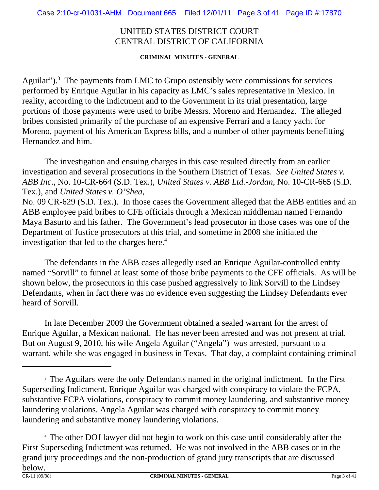**CRIMINAL MINUTES - GENERAL**

Aguilar"). $3$  The payments from LMC to Grupo ostensibly were commissions for services performed by Enrique Aguilar in his capacity as LMC's sales representative in Mexico. In reality, according to the indictment and to the Government in its trial presentation, large portions of those payments were used to bribe Messrs. Moreno and Hernandez. The alleged bribes consisted primarily of the purchase of an expensive Ferrari and a fancy yacht for Moreno, payment of his American Express bills, and a number of other payments benefitting Hernandez and him.

The investigation and ensuing charges in this case resulted directly from an earlier investigation and several prosecutions in the Southern District of Texas. *See United States v. ABB Inc*., No. 10-CR-664 (S.D. Tex.), *United States v. ABB Ltd.-Jordan*, No. 10-CR-665 (S.D. Tex.), and *United States v. O'Shea*,

No. 09 CR-629 (S.D. Tex.). In those cases the Government alleged that the ABB entities and an ABB employee paid bribes to CFE officials through a Mexican middleman named Fernando Maya Basurto and his father. The Government's lead prosecutor in those cases was one of the Department of Justice prosecutors at this trial, and sometime in 2008 she initiated the investigation that led to the charges here.<sup>4</sup>

The defendants in the ABB cases allegedly used an Enrique Aguilar-controlled entity named "Sorvill" to funnel at least some of those bribe payments to the CFE officials. As will be shown below, the prosecutors in this case pushed aggressively to link Sorvill to the Lindsey Defendants, when in fact there was no evidence even suggesting the Lindsey Defendants ever heard of Sorvill.

In late December 2009 the Government obtained a sealed warrant for the arrest of Enrique Aguilar, a Mexican national. He has never been arrested and was not present at trial. But on August 9, 2010, his wife Angela Aguilar ("Angela") *was* arrested, pursuant to a warrant, while she was engaged in business in Texas. That day, a complaint containing criminal

4 The other DOJ lawyer did not begin to work on this case until considerably after the First Superseding Indictment was returned. He was not involved in the ABB cases or in the grand jury proceedings and the non-production of grand jury transcripts that are discussed  $\underline{below.}$ <br>CR-11 (09/98)

<sup>&</sup>lt;sup>3</sup> The Aguilars were the only Defendants named in the original indictment. In the First Superseding Indictment, Enrique Aguilar was charged with conspiracy to violate the FCPA, substantive FCPA violations, conspiracy to commit money laundering, and substantive money laundering violations. Angela Aguilar was charged with conspiracy to commit money laundering and substantive money laundering violations.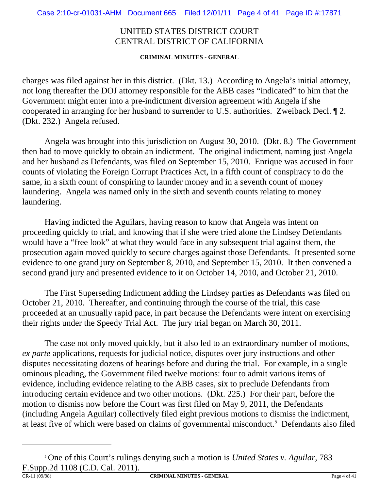**CRIMINAL MINUTES - GENERAL**

charges was filed against her in this district. (Dkt. 13.) According to Angela's initial attorney, not long thereafter the DOJ attorney responsible for the ABB cases "indicated" to him that the Government might enter into a pre-indictment diversion agreement with Angela if she cooperated in arranging for her husband to surrender to U.S. authorities. Zweiback Decl. ¶ 2. (Dkt. 232.) Angela refused.

Angela was brought into this jurisdiction on August 30, 2010. (Dkt. 8.) The Government then had to move quickly to obtain an indictment. The original indictment, naming just Angela and her husband as Defendants, was filed on September 15, 2010. Enrique was accused in four counts of violating the Foreign Corrupt Practices Act, in a fifth count of conspiracy to do the same, in a sixth count of conspiring to launder money and in a seventh count of money laundering. Angela was named only in the sixth and seventh counts relating to money laundering.

Having indicted the Aguilars, having reason to know that Angela was intent on proceeding quickly to trial, and knowing that if she were tried alone the Lindsey Defendants would have a "free look" at what they would face in any subsequent trial against them, the prosecution again moved quickly to secure charges against those Defendants. It presented some evidence to one grand jury on September 8, 2010, and September 15, 2010. It then convened a second grand jury and presented evidence to it on October 14, 2010, and October 21, 2010.

The First Superseding Indictment adding the Lindsey parties as Defendants was filed on October 21, 2010. Thereafter, and continuing through the course of the trial, this case proceeded at an unusually rapid pace, in part because the Defendants were intent on exercising their rights under the Speedy Trial Act. The jury trial began on March 30, 2011.

The case not only moved quickly, but it also led to an extraordinary number of motions, *ex parte* applications, requests for judicial notice, disputes over jury instructions and other disputes necessitating dozens of hearings before and during the trial. For example, in a single ominous pleading, the Government filed twelve motions: four to admit various items of evidence, including evidence relating to the ABB cases, six to preclude Defendants from introducing certain evidence and two other motions. (Dkt. 225.) For their part, before the motion to dismiss now before the Court was first filed on May 9, 2011, the Defendants (including Angela Aguilar) collectively filed eight previous motions to dismiss the indictment, at least five of which were based on claims of governmental misconduct.<sup>5</sup> Defendants also filed

<sup>5</sup> One of this Court's rulings denying such a motion is *United States v. Aguilar*, 783 F.Supp.2d 1108 (C.D. Cal. 2011).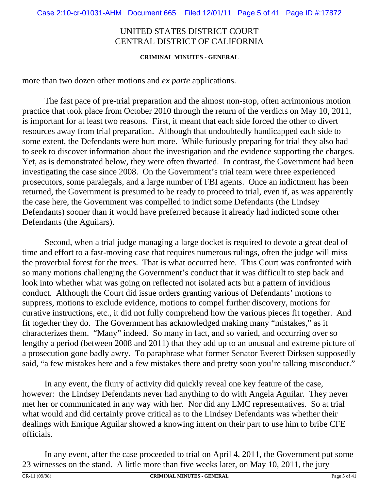#### **CRIMINAL MINUTES - GENERAL**

more than two dozen other motions and *ex parte* applications.

The fast pace of pre-trial preparation and the almost non-stop, often acrimonious motion practice that took place from October 2010 through the return of the verdicts on May 10, 2011, is important for at least two reasons. First, it meant that each side forced the other to divert resources away from trial preparation. Although that undoubtedly handicapped each side to some extent, the Defendants were hurt more. While furiously preparing for trial they also had to seek to discover information about the investigation and the evidence supporting the charges. Yet, as is demonstrated below, they were often thwarted. In contrast, the Government had been investigating the case since 2008. On the Government's trial team were three experienced prosecutors, some paralegals, and a large number of FBI agents. Once an indictment has been returned, the Government is presumed to be ready to proceed to trial, even if, as was apparently the case here, the Government was compelled to indict some Defendants (the Lindsey Defendants) sooner than it would have preferred because it already had indicted some other Defendants (the Aguilars).

Second, when a trial judge managing a large docket is required to devote a great deal of time and effort to a fast-moving case that requires numerous rulings, often the judge will miss the proverbial forest for the trees. That is what occurred here. This Court was confronted with so many motions challenging the Government's conduct that it was difficult to step back and look into whether what was going on reflected not isolated acts but a pattern of invidious conduct. Although the Court did issue orders granting various of Defendants' motions to suppress, motions to exclude evidence, motions to compel further discovery, motions for curative instructions, etc., it did not fully comprehend how the various pieces fit together. And fit together they do. The Government has acknowledged making many "mistakes," as it characterizes them. "Many" indeed. So many in fact, and so varied, and occurring over so lengthy a period (between 2008 and 2011) that they add up to an unusual and extreme picture of a prosecution gone badly awry. To paraphrase what former Senator Everett Dirksen supposedly said, "a few mistakes here and a few mistakes there and pretty soon you're talking misconduct."

In any event, the flurry of activity did quickly reveal one key feature of the case, however: the Lindsey Defendants never had anything to do with Angela Aguilar. They never met her or communicated in any way with her. Nor did any LMC representatives. So at trial what would and did certainly prove critical as to the Lindsey Defendants was whether their dealings with Enrique Aguilar showed a knowing intent on their part to use him to bribe CFE officials.

In any event, after the case proceeded to trial on April 4, 2011, the Government put some 23 witnesses on the stand. A little more than five weeks later, on May 10, 2011, the jury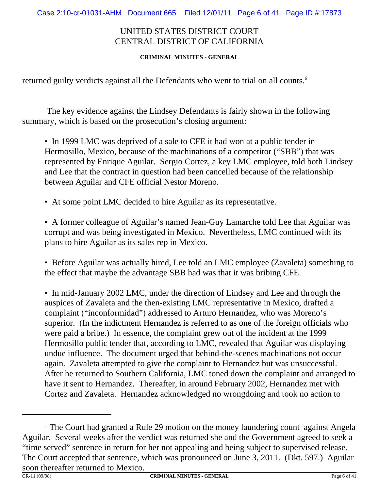#### **CRIMINAL MINUTES - GENERAL**

returned guilty verdicts against all the Defendants who went to trial on all counts.<sup>6</sup>

 The key evidence against the Lindsey Defendants is fairly shown in the following summary, which is based on the prosecution's closing argument:

• In 1999 LMC was deprived of a sale to CFE it had won at a public tender in Hermosillo, Mexico, because of the machinations of a competitor ("SBB") that was represented by Enrique Aguilar. Sergio Cortez, a key LMC employee, told both Lindsey and Lee that the contract in question had been cancelled because of the relationship between Aguilar and CFE official Nestor Moreno.

• At some point LMC decided to hire Aguilar as its representative.

• A former colleague of Aguilar's named Jean-Guy Lamarche told Lee that Aguilar was corrupt and was being investigated in Mexico. Nevertheless, LMC continued with its plans to hire Aguilar as its sales rep in Mexico.

• Before Aguilar was actually hired, Lee told an LMC employee (Zavaleta) something to the effect that maybe the advantage SBB had was that it was bribing CFE.

• In mid-January 2002 LMC, under the direction of Lindsey and Lee and through the auspices of Zavaleta and the then-existing LMC representative in Mexico, drafted a complaint ("inconformidad") addressed to Arturo Hernandez, who was Moreno's superior. (In the indictment Hernandez is referred to as one of the foreign officials who were paid a bribe.) In essence, the complaint grew out of the incident at the 1999 Hermosillo public tender that, according to LMC, revealed that Aguilar was displaying undue influence. The document urged that behind-the-scenes machinations not occur again. Zavaleta attempted to give the complaint to Hernandez but was unsuccessful. After he returned to Southern California, LMC toned down the complaint and arranged to have it sent to Hernandez. Thereafter, in around February 2002, Hernandez met with Cortez and Zavaleta. Hernandez acknowledged no wrongdoing and took no action to

<sup>&</sup>lt;sup>6</sup> The Court had granted a Rule 29 motion on the money laundering count against Angela Aguilar. Several weeks after the verdict was returned she and the Government agreed to seek a "time served" sentence in return for her not appealing and being subject to supervised release. The Court accepted that sentence, which was pronounced on June 3, 2011. (Dkt. 597.) Aguilar soon thereafter returned to Mexico.<br> $\frac{1}{\text{CR-11 (09/98)}}$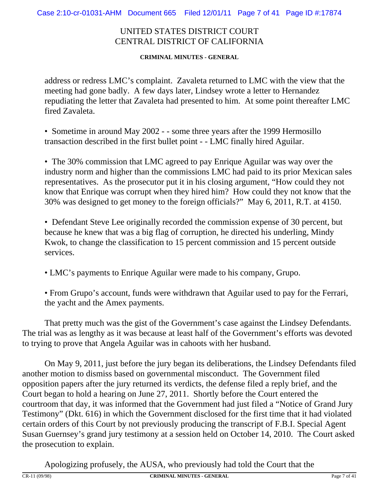**CRIMINAL MINUTES - GENERAL**

address or redress LMC's complaint. Zavaleta returned to LMC with the view that the meeting had gone badly. A few days later, Lindsey wrote a letter to Hernandez repudiating the letter that Zavaleta had presented to him. At some point thereafter LMC fired Zavaleta.

• Sometime in around May 2002 - - some three years after the 1999 Hermosillo transaction described in the first bullet point - - LMC finally hired Aguilar.

• The 30% commission that LMC agreed to pay Enrique Aguilar was way over the industry norm and higher than the commissions LMC had paid to its prior Mexican sales representatives. As the prosecutor put it in his closing argument, "How could they not know that Enrique was corrupt when they hired him? How could they not know that the 30% was designed to get money to the foreign officials?" May 6, 2011, R.T. at 4150.

• Defendant Steve Lee originally recorded the commission expense of 30 percent, but because he knew that was a big flag of corruption, he directed his underling, Mindy Kwok, to change the classification to 15 percent commission and 15 percent outside services.

• LMC's payments to Enrique Aguilar were made to his company, Grupo.

• From Grupo's account, funds were withdrawn that Aguilar used to pay for the Ferrari, the yacht and the Amex payments.

That pretty much was the gist of the Government's case against the Lindsey Defendants. The trial was as lengthy as it was because at least half of the Government's efforts was devoted to trying to prove that Angela Aguilar was in cahoots with her husband.

On May 9, 2011, just before the jury began its deliberations, the Lindsey Defendants filed another motion to dismiss based on governmental misconduct. The Government filed opposition papers after the jury returned its verdicts, the defense filed a reply brief, and the Court began to hold a hearing on June 27, 2011. Shortly before the Court entered the courtroom that day, it was informed that the Government had just filed a "Notice of Grand Jury Testimony" (Dkt. 616) in which the Government disclosed for the first time that it had violated certain orders of this Court by not previously producing the transcript of F.B.I. Special Agent Susan Guernsey's grand jury testimony at a session held on October 14, 2010. The Court asked the prosecution to explain.

Apologizing profusely, the AUSA, who previously had told the Court that the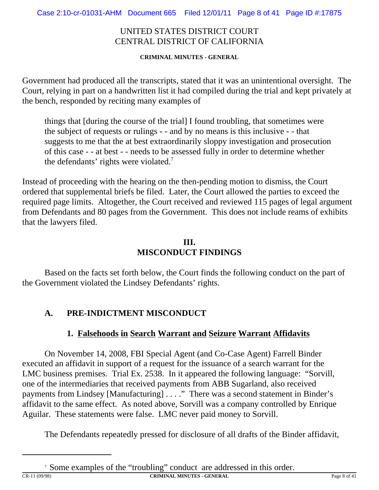**CRIMINAL MINUTES - GENERAL**

Government had produced all the transcripts, stated that it was an unintentional oversight. The Court, relying in part on a handwritten list it had compiled during the trial and kept privately at the bench, responded by reciting many examples of

things that [during the course of the trial] I found troubling, that sometimes were the subject of requests or rulings - - and by no means is this inclusive - - that suggests to me that the at best extraordinarily sloppy investigation and prosecution of this case - - at best - - needs to be assessed fully in order to determine whether the defendants' rights were violated.7

Instead of proceeding with the hearing on the then-pending motion to dismiss, the Court ordered that supplemental briefs be filed. Later, the Court allowed the parties to exceed the required page limits. Altogether, the Court received and reviewed 115 pages of legal argument from Defendants and 80 pages from the Government. This does not include reams of exhibits that the lawyers filed.

## **III. MISCONDUCT FINDINGS**

Based on the facts set forth below, the Court finds the following conduct on the part of the Government violated the Lindsey Defendants' rights.

# **A. PRE-INDICTMENT MISCONDUCT**

## **1. Falsehoods in Search Warrant and Seizure Warrant Affidavits**

On November 14, 2008, FBI Special Agent (and Co-Case Agent) Farrell Binder executed an affidavit in support of a request for the issuance of a search warrant for the LMC business premises. Trial Ex. 2538. In it appeared the following language: "Sorvill, one of the intermediaries that received payments from ABB Sugarland, also received payments from Lindsey [Manufacturing] . . . ." There was a second statement in Binder's affidavit to the same effect. As noted above, Sorvill was a company controlled by Enrique Aguilar. These statements were false. LMC never paid money to Sorvill.

The Defendants repeatedly pressed for disclosure of all drafts of the Binder affidavit,

CR-11 (09/98) **CRIMINAL MINUTES - GENERAL** Page 8 of 41

<sup>&</sup>lt;sup>7</sup> Some examples of the "troubling" conduct are addressed in this order.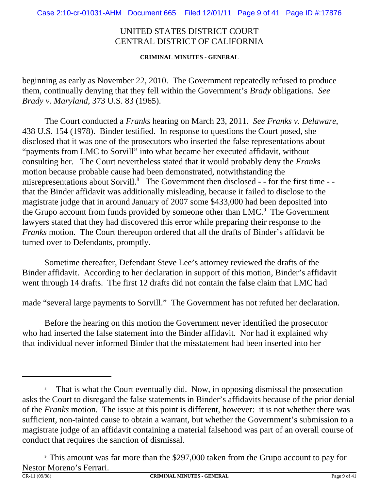**CRIMINAL MINUTES - GENERAL**

beginning as early as November 22, 2010. The Government repeatedly refused to produce them, continually denying that they fell within the Government's *Brady* obligations. *See Brady v. Maryland*, 373 U.S. 83 (1965).

The Court conducted a *Franks* hearing on March 23, 2011. *See Franks v. Delaware*, 438 U.S. 154 (1978). Binder testified. In response to questions the Court posed, she disclosed that it was one of the prosecutors who inserted the false representations about "payments from LMC to Sorvill" into what became her executed affidavit, without consulting her. The Court nevertheless stated that it would probably deny the *Franks* motion because probable cause had been demonstrated, notwithstanding the misrepresentations about Sorvill.<sup>8</sup> The Government then disclosed - - for the first time - that the Binder affidavit was additionally misleading, because it failed to disclose to the magistrate judge that in around January of 2007 some \$433,000 had been deposited into the Grupo account from funds provided by someone other than  $LMC$ .<sup>9</sup> The Government lawyers stated that they had discovered this error while preparing their response to the *Franks* motion. The Court thereupon ordered that all the drafts of Binder's affidavit be turned over to Defendants, promptly.

Sometime thereafter, Defendant Steve Lee's attorney reviewed the drafts of the Binder affidavit. According to her declaration in support of this motion, Binder's affidavit went through 14 drafts. The first 12 drafts did not contain the false claim that LMC had

made "several large payments to Sorvill." The Government has not refuted her declaration.

Before the hearing on this motion the Government never identified the prosecutor who had inserted the false statement into the Binder affidavit. Nor had it explained why that individual never informed Binder that the misstatement had been inserted into her

<sup>&</sup>lt;sup>8</sup> That is what the Court eventually did. Now, in opposing dismissal the prosecution asks the Court to disregard the false statements in Binder's affidavits because of the prior denial of the *Franks* motion. The issue at this point is different, however: it is not whether there was sufficient, non-tainted cause to obtain a warrant, but whether the Government's submission to a magistrate judge of an affidavit containing a material falsehood was part of an overall course of conduct that requires the sanction of dismissal.

<sup>9</sup> This amount was far more than the \$297,000 taken from the Grupo account to pay for Nestor Moreno's Ferrari.<br>CR-11.09/98)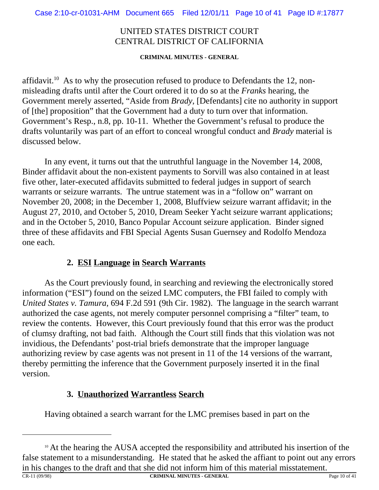**CRIMINAL MINUTES - GENERAL**

affidavit.<sup>10</sup> As to why the prosecution refused to produce to Defendants the 12, nonmisleading drafts until after the Court ordered it to do so at the *Franks* hearing, the Government merely asserted, "Aside from *Brady*, [Defendants] cite no authority in support of [the] proposition" that the Government had a duty to turn over that information. Government's Resp., n.8, pp. 10-11. Whether the Government's refusal to produce the drafts voluntarily was part of an effort to conceal wrongful conduct and *Brady* material is discussed below.

In any event, it turns out that the untruthful language in the November 14, 2008, Binder affidavit about the non-existent payments to Sorvill was also contained in at least five other, later-executed affidavits submitted to federal judges in support of search warrants or seizure warrants. The untrue statement was in a "follow on" warrant on November 20, 2008; in the December 1, 2008, Bluffview seizure warrant affidavit; in the August 27, 2010, and October 5, 2010, Dream Seeker Yacht seizure warrant applications; and in the October 5, 2010, Banco Popular Account seizure application. Binder signed three of these affidavits and FBI Special Agents Susan Guernsey and Rodolfo Mendoza one each.

## **2. ESI Language in Search Warrants**

As the Court previously found, in searching and reviewing the electronically stored information ("ESI") found on the seized LMC computers, the FBI failed to comply with *United States v. Tamura*, 694 F.2d 591 (9th Cir. 1982). The language in the search warrant authorized the case agents, not merely computer personnel comprising a "filter" team, to review the contents. However, this Court previously found that this error was the product of clumsy drafting, not bad faith. Although the Court still finds that this violation was not invidious, the Defendants' post-trial briefs demonstrate that the improper language authorizing review by case agents was not present in 11 of the 14 versions of the warrant, thereby permitting the inference that the Government purposely inserted it in the final version.

## **3. Unauthorized Warrantless Search**

Having obtained a search warrant for the LMC premises based in part on the

<sup>&</sup>lt;sup>10</sup> At the hearing the AUSA accepted the responsibility and attributed his insertion of the false statement to a misunderstanding. He stated that he asked the affiant to point out any errors in his changes to the draft and that she did not inform him of this material misstatement.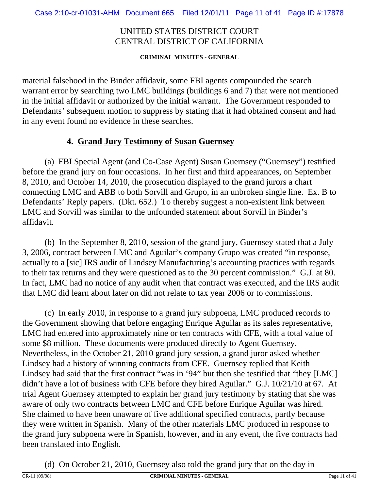**CRIMINAL MINUTES - GENERAL**

material falsehood in the Binder affidavit, some FBI agents compounded the search warrant error by searching two LMC buildings (buildings 6 and 7) that were not mentioned in the initial affidavit or authorized by the initial warrant. The Government responded to Defendants' subsequent motion to suppress by stating that it had obtained consent and had in any event found no evidence in these searches.

#### **4. Grand Jury Testimony of Susan Guernsey**

(a) FBI Special Agent (and Co-Case Agent) Susan Guernsey ("Guernsey") testified before the grand jury on four occasions. In her first and third appearances, on September 8, 2010, and October 14, 2010, the prosecution displayed to the grand jurors a chart connecting LMC and ABB to both Sorvill and Grupo, in an unbroken single line. Ex. B to Defendants' Reply papers. (Dkt. 652.) To thereby suggest a non-existent link between LMC and Sorvill was similar to the unfounded statement about Sorvill in Binder's affidavit.

(b) In the September 8, 2010, session of the grand jury, Guernsey stated that a July 3, 2006, contract between LMC and Aguilar's company Grupo was created "in response, actually to a [sic] IRS audit of Lindsey Manufacturing's accounting practices with regards to their tax returns and they were questioned as to the 30 percent commission." G.J. at 80. In fact, LMC had no notice of any audit when that contract was executed, and the IRS audit that LMC did learn about later on did not relate to tax year 2006 or to commissions.

(c) In early 2010, in response to a grand jury subpoena, LMC produced records to the Government showing that before engaging Enrique Aguilar as its sales representative, LMC had entered into approximately nine or ten contracts with CFE, with a total value of some \$8 million. These documents were produced directly to Agent Guernsey. Nevertheless, in the October 21, 2010 grand jury session, a grand juror asked whether Lindsey had a history of winning contracts from CFE. Guernsey replied that Keith Lindsey had said that the first contract "was in '94" but then she testified that "they [LMC] didn't have a lot of business with CFE before they hired Aguilar." G.J. 10/21/10 at 67. At trial Agent Guernsey attempted to explain her grand jury testimony by stating that she was aware of only two contracts between LMC and CFE before Enrique Aguilar was hired. She claimed to have been unaware of five additional specified contracts, partly because they were written in Spanish. Many of the other materials LMC produced in response to the grand jury subpoena were in Spanish, however, and in any event, the five contracts had been translated into English.

(d) On October 21, 2010, Guernsey also told the grand jury that on the day in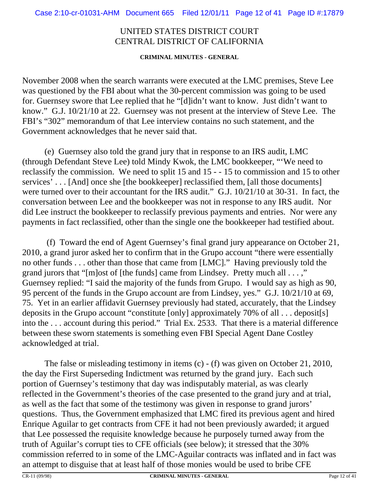#### **CRIMINAL MINUTES - GENERAL**

November 2008 when the search warrants were executed at the LMC premises, Steve Lee was questioned by the FBI about what the 30-percent commission was going to be used for. Guernsey swore that Lee replied that he "[d]idn't want to know. Just didn't want to know." G.J. 10/21/10 at 22. Guernsey was not present at the interview of Steve Lee. The FBI's "302" memorandum of that Lee interview contains no such statement, and the Government acknowledges that he never said that.

(e) Guernsey also told the grand jury that in response to an IRS audit, LMC (through Defendant Steve Lee) told Mindy Kwok, the LMC bookkeeper, "'We need to reclassify the commission. We need to split 15 and 15 - - 15 to commission and 15 to other services' . . . [And] once she [the bookkeeper] reclassified them, [all those documents] were turned over to their accountant for the IRS audit." G.J. 10/21/10 at 30-31. In fact, the conversation between Lee and the bookkeeper was not in response to any IRS audit. Nor did Lee instruct the bookkeeper to reclassify previous payments and entries. Nor were any payments in fact reclassified, other than the single one the bookkeeper had testified about.

 (f) Toward the end of Agent Guernsey's final grand jury appearance on October 21, 2010, a grand juror asked her to confirm that in the Grupo account "there were essentially no other funds . . . other than those that came from [LMC]." Having previously told the grand jurors that "[m]ost of [the funds] came from Lindsey. Pretty much all . . . ," Guernsey replied: "I said the majority of the funds from Grupo. I would say as high as 90, 95 percent of the funds in the Grupo account are from Lindsey, yes." G.J. 10/21/10 at 69, 75. Yet in an earlier affidavit Guernsey previously had stated, accurately, that the Lindsey deposits in the Grupo account "constitute [only] approximately 70% of all . . . deposit[s] into the . . . account during this period." Trial Ex. 2533. That there is a material difference between these sworn statements is something even FBI Special Agent Dane Costley acknowledged at trial.

The false or misleading testimony in items (c) - (f) was given on October 21, 2010, the day the First Superseding Indictment was returned by the grand jury. Each such portion of Guernsey's testimony that day was indisputably material, as was clearly reflected in the Government's theories of the case presented to the grand jury and at trial, as well as the fact that some of the testimony was given in response to grand jurors' questions. Thus, the Government emphasized that LMC fired its previous agent and hired Enrique Aguilar to get contracts from CFE it had not been previously awarded; it argued that Lee possessed the requisite knowledge because he purposely turned away from the truth of Aguilar's corrupt ties to CFE officials (see below); it stressed that the 30% commission referred to in some of the LMC-Aguilar contracts was inflated and in fact was an attempt to disguise that at least half of those monies would be used to bribe CFE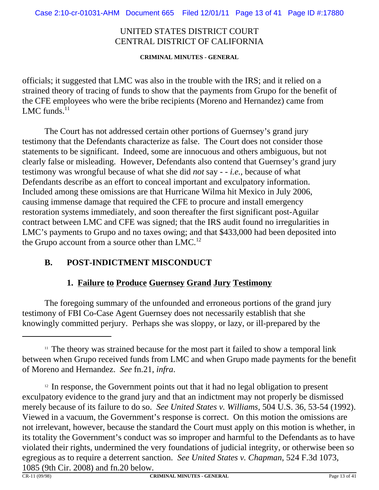**CRIMINAL MINUTES - GENERAL**

officials; it suggested that LMC was also in the trouble with the IRS; and it relied on a strained theory of tracing of funds to show that the payments from Grupo for the benefit of the CFE employees who were the bribe recipients (Moreno and Hernandez) came from LMC funds. $^{11}$ 

The Court has not addressed certain other portions of Guernsey's grand jury testimony that the Defendants characterize as false. The Court does not consider those statements to be significant. Indeed, some are innocuous and others ambiguous, but not clearly false or misleading. However, Defendants also contend that Guernsey's grand jury testimony was wrongful because of what she did *not* say - - *i.e.*, because of what Defendants describe as an effort to conceal important and exculpatory information. Included among these omissions are that Hurricane Wilma hit Mexico in July 2006, causing immense damage that required the CFE to procure and install emergency restoration systems immediately, and soon thereafter the first significant post-Aguilar contract between LMC and CFE was signed; that the IRS audit found no irregularities in LMC's payments to Grupo and no taxes owing; and that \$433,000 had been deposited into the Grupo account from a source other than  $LMC<sup>12</sup>$ 

# **B. POST-INDICTMENT MISCONDUCT**

## **1. Failure to Produce Guernsey Grand Jury Testimony**

The foregoing summary of the unfounded and erroneous portions of the grand jury testimony of FBI Co-Case Agent Guernsey does not necessarily establish that she knowingly committed perjury. Perhaps she was sloppy, or lazy, or ill-prepared by the

 $11$  The theory was strained because for the most part it failed to show a temporal link between when Grupo received funds from LMC and when Grupo made payments for the benefit of Moreno and Hernandez. *See* fn.21, *infra*.

<sup>&</sup>lt;sup>12</sup> In response, the Government points out that it had no legal obligation to present exculpatory evidence to the grand jury and that an indictment may not properly be dismissed merely because of its failure to do so. *See United States v. Williams*, 504 U.S. 36, 53-54 (1992). Viewed in a vacuum, the Government's response is correct. On this motion the omissions are not irrelevant, however, because the standard the Court must apply on this motion is whether, in its totality the Government's conduct was so improper and harmful to the Defendants as to have violated their rights, undermined the very foundations of judicial integrity, or otherwise been so egregious as to require a deterrent sanction. *See United States v. Chapman*, 524 F.3d 1073, 1085 (9th Cir. 2008) and fn.20 below.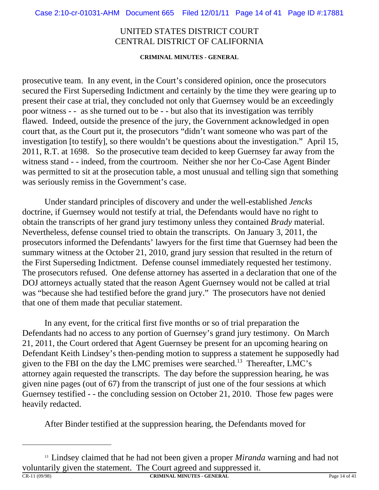#### **CRIMINAL MINUTES - GENERAL**

prosecutive team. In any event, in the Court's considered opinion, once the prosecutors secured the First Superseding Indictment and certainly by the time they were gearing up to present their case at trial, they concluded not only that Guernsey would be an exceedingly poor witness - - as she turned out to be - - but also that its investigation was terribly flawed. Indeed, outside the presence of the jury, the Government acknowledged in open court that, as the Court put it, the prosecutors "didn't want someone who was part of the investigation [to testify], so there wouldn't be questions about the investigation." April 15, 2011, R.T. at 1698. So the prosecutive team decided to keep Guernsey far away from the witness stand - - indeed, from the courtroom. Neither she nor her Co-Case Agent Binder was permitted to sit at the prosecution table, a most unusual and telling sign that something was seriously remiss in the Government's case.

Under standard principles of discovery and under the well-established *Jencks* doctrine, if Guernsey would not testify at trial, the Defendants would have no right to obtain the transcripts of her grand jury testimony unless they contained *Brady* material. Nevertheless, defense counsel tried to obtain the transcripts. On January 3, 2011, the prosecutors informed the Defendants' lawyers for the first time that Guernsey had been the summary witness at the October 21, 2010, grand jury session that resulted in the return of the First Superseding Indictment. Defense counsel immediately requested her testimony. The prosecutors refused. One defense attorney has asserted in a declaration that one of the DOJ attorneys actually stated that the reason Agent Guernsey would not be called at trial was "because she had testified before the grand jury." The prosecutors have not denied that one of them made that peculiar statement.

In any event, for the critical first five months or so of trial preparation the Defendants had no access to any portion of Guernsey's grand jury testimony. On March 21, 2011, the Court ordered that Agent Guernsey be present for an upcoming hearing on Defendant Keith Lindsey's then-pending motion to suppress a statement he supposedly had given to the FBI on the day the LMC premises were searched.<sup>13</sup> Thereafter, LMC's attorney again requested the transcripts. The day before the suppression hearing, he was given nine pages (out of 67) from the transcript of just one of the four sessions at which Guernsey testified - - the concluding session on October 21, 2010. Those few pages were heavily redacted.

After Binder testified at the suppression hearing, the Defendants moved for

<sup>&</sup>lt;sup>13</sup> Lindsey claimed that he had not been given a proper *Miranda* warning and had not voluntarily given the statement. The Court agreed and suppressed it.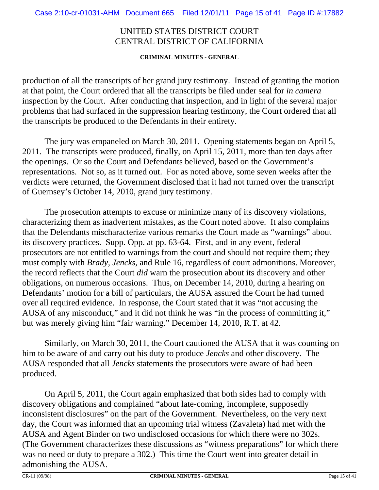#### **CRIMINAL MINUTES - GENERAL**

production of all the transcripts of her grand jury testimony. Instead of granting the motion at that point, the Court ordered that all the transcripts be filed under seal for *in camera* inspection by the Court. After conducting that inspection, and in light of the several major problems that had surfaced in the suppression hearing testimony, the Court ordered that all the transcripts be produced to the Defendants in their entirety.

The jury was empaneled on March 30, 2011. Opening statements began on April 5, 2011. The transcripts were produced, finally, on April 15, 2011, more than ten days after the openings. Or so the Court and Defendants believed, based on the Government's representations. Not so, as it turned out. For as noted above, some seven weeks after the verdicts were returned, the Government disclosed that it had not turned over the transcript of Guernsey's October 14, 2010, grand jury testimony.

The prosecution attempts to excuse or minimize many of its discovery violations, characterizing them as inadvertent mistakes, as the Court noted above. It also complains that the Defendants mischaracterize various remarks the Court made as "warnings" about its discovery practices. Supp. Opp. at pp. 63-64. First, and in any event, federal prosecutors are not entitled to warnings from the court and should not require them; they must comply with *Brady, Jencks*, and Rule 16, regardless of court admonitions. Moreover, the record reflects that the Court *did* warn the prosecution about its discovery and other obligations, on numerous occasions. Thus, on December 14, 2010, during a hearing on Defendants' motion for a bill of particulars, the AUSA assured the Court he had turned over all required evidence. In response, the Court stated that it was "not accusing the AUSA of any misconduct," and it did not think he was "in the process of committing it," but was merely giving him "fair warning." December 14, 2010, R.T. at 42.

Similarly, on March 30, 2011, the Court cautioned the AUSA that it was counting on him to be aware of and carry out his duty to produce *Jencks* and other discovery. The AUSA responded that all *Jencks* statements the prosecutors were aware of had been produced.

On April 5, 2011, the Court again emphasized that both sides had to comply with discovery obligations and complained "about late-coming, incomplete, supposedly inconsistent disclosures" on the part of the Government. Nevertheless, on the very next day, the Court was informed that an upcoming trial witness (Zavaleta) had met with the AUSA and Agent Binder on two undisclosed occasions for which there were no 302s. (The Government characterizes these discussions as "witness preparations" for which there was no need or duty to prepare a 302.) This time the Court went into greater detail in admonishing the AUSA.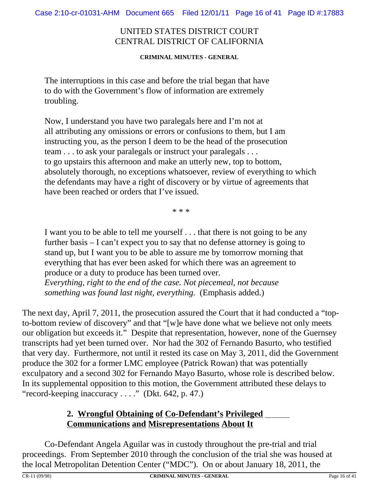**CRIMINAL MINUTES - GENERAL**

The interruptions in this case and before the trial began that have to do with the Government's flow of information are extremely troubling.

Now, I understand you have two paralegals here and I'm not at all attributing any omissions or errors or confusions to them, but I am instructing you, as the person I deem to be the head of the prosecution team . . . to ask your paralegals or instruct your paralegals . . . to go upstairs this afternoon and make an utterly new, top to bottom, absolutely thorough, no exceptions whatsoever, review of everything to which the defendants may have a right of discovery or by virtue of agreements that have been reached or orders that I've issued.

\* \* \*

I want you to be able to tell me yourself . . . that there is not going to be any further basis – I can't expect you to say that no defense attorney is going to stand up, but I want you to be able to assure me by tomorrow morning that everything that has ever been asked for which there was an agreement to produce or a duty to produce has been turned over.

*Everything, right to the end of the case. Not piecemeal, not because something was found last night, everything.* (Emphasis added.)

The next day, April 7, 2011, the prosecution assured the Court that it had conducted a "topto-bottom review of discovery" and that "[w]e have done what we believe not only meets our obligation but exceeds it." Despite that representation, however, none of the Guernsey transcripts had yet been turned over. Nor had the 302 of Fernando Basurto, who testified that very day.Furthermore, not until it rested its case on May 3, 2011, did the Government produce the 302 for a former LMC employee (Patrick Rowan) that was potentially exculpatory and a second 302 for Fernando Mayo Basurto, whose role is described below. In its supplemental opposition to this motion, the Government attributed these delays to "record-keeping inaccuracy . . . ." (Dkt. 642, p. 47.)

## **2. Wrongful Obtaining of Co-Defendant's Privileged Communications and Misrepresentations About It**

Co-Defendant Angela Aguilar was in custody throughout the pre-trial and trial proceedings. From September 2010 through the conclusion of the trial she was housed at the local Metropolitan Detention Center ("MDC"). On or about January 18, 2011, the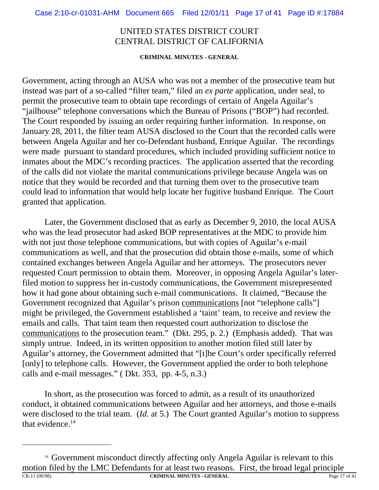#### **CRIMINAL MINUTES - GENERAL**

Government, acting through an AUSA who was not a member of the prosecutive team but instead was part of a so-called "filter team," filed an *ex parte* application, under seal, to permit the prosecutive team to obtain tape recordings of certain of Angela Aguilar's "jailhouse" telephone conversations which the Bureau of Prisons ("BOP") had recorded. The Court responded by issuing an order requiring further information. In response, on January 28, 2011, the filter team AUSA disclosed to the Court that the recorded calls were between Angela Aguilar and her co-Defendant husband, Enrique Aguilar. The recordings were made pursuant to standard procedures, which included providing sufficient notice to inmates about the MDC's recording practices. The application asserted that the recording of the calls did not violate the marital communications privilege because Angela was on notice that they would be recorded and that turning them over to the prosecutive team could lead to information that would help locate her fugitive husband Enrique. The Court granted that application.

Later, the Government disclosed that as early as December 9, 2010, the local AUSA who was the lead prosecutor had asked BOP representatives at the MDC to provide him with not just those telephone communications, but with copies of Aguilar's e-mail communications as well, and that the prosecution did obtain those e-mails, some of which contained exchanges between Angela Aguilar and her attorneys. The prosecutors never requested Court permission to obtain them. Moreover, in opposing Angela Aguilar's laterfiled motion to suppress her in-custody communications, the Government misrepresented how it had gone about obtaining such e-mail communications. It claimed, "Because the Government recognized that Aguilar's prison communications [not "telephone calls"] might be privileged, the Government established a 'taint' team, to receive and review the emails and calls. That taint team then requested court authorization to disclose the communications to the prosecution team." (Dkt. 295, p. 2.) (Emphasis added). That was simply untrue. Indeed, in its written opposition to another motion filed still later by Aguilar's attorney, the Government admitted that "[t]he Court's order specifically referred [only] to telephone calls. However, the Government applied the order to both telephone calls and e-mail messages." ( Dkt. 353, pp. 4-5, n.3.)

In short, as the prosecution was forced to admit, as a result of its unauthorized conduct, it obtained communications between Aguilar and her attorneys, and those e-mails were disclosed to the trial team. (*Id.* at 5.) The Court granted Aguilar's motion to suppress that evidence. $14$ 

<sup>&</sup>lt;sup>14</sup> Government misconduct directly affecting only Angela Aguilar is relevant to this motion filed by the LMC Defendants for at least two reasons. First, the broad legal principle CR-11 (09/98) **CRIMINAL MINUTES - GENERAL** Page 17 of 41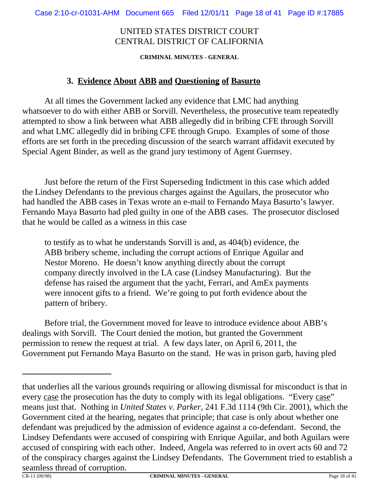**CRIMINAL MINUTES - GENERAL**

#### **3. Evidence About ABB and Questioning of Basurto**

At all times the Government lacked any evidence that LMC had anything whatsoever to do with either ABB or Sorvill. Nevertheless, the prosecutive team repeatedly attempted to show a link between what ABB allegedly did in bribing CFE through Sorvill and what LMC allegedly did in bribing CFE through Grupo. Examples of some of those efforts are set forth in the preceding discussion of the search warrant affidavit executed by Special Agent Binder, as well as the grand jury testimony of Agent Guernsey.

Just before the return of the First Superseding Indictment in this case which added the Lindsey Defendants to the previous charges against the Aguilars, the prosecutor who had handled the ABB cases in Texas wrote an e-mail to Fernando Maya Basurto's lawyer. Fernando Maya Basurto had pled guilty in one of the ABB cases. The prosecutor disclosed that he would be called as a witness in this case

to testify as to what he understands Sorvill is and, as 404(b) evidence, the ABB bribery scheme, including the corrupt actions of Enrique Aguilar and Nestor Moreno. He doesn't know anything directly about the corrupt company directly involved in the LA case (Lindsey Manufacturing). But the defense has raised the argument that the yacht, Ferrari, and AmEx payments were innocent gifts to a friend. We're going to put forth evidence about the pattern of bribery.

Before trial, the Government moved for leave to introduce evidence about ABB's dealings with Sorvill. The Court denied the motion, but granted the Government permission to renew the request at trial. A few days later, on April 6, 2011, the Government put Fernando Maya Basurto on the stand. He was in prison garb, having pled

that underlies all the various grounds requiring or allowing dismissal for misconduct is that in every case the prosecution has the duty to comply with its legal obligations. "Every case" means just that. Nothing in *United States v. Parker*, 241 F.3d 1114 (9th Cir. 2001), which the Government cited at the hearing, negates that principle; that case is only about whether one defendant was prejudiced by the admission of evidence against a co-defendant. Second, the Lindsey Defendants were accused of conspiring with Enrique Aguilar, and both Aguilars were accused of conspiring with each other. Indeed, Angela was referred to in overt acts 60 and 72 of the conspiracy charges against the Lindsey Defendants. The Government tried to establish a seamless thread of corruption.<br> $CR-11 (09/98)$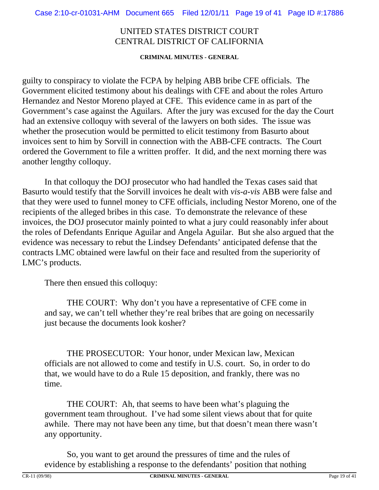**CRIMINAL MINUTES - GENERAL**

guilty to conspiracy to violate the FCPA by helping ABB bribe CFE officials. The Government elicited testimony about his dealings with CFE and about the roles Arturo Hernandez and Nestor Moreno played at CFE. This evidence came in as part of the Government's case against the Aguilars. After the jury was excused for the day the Court had an extensive colloquy with several of the lawyers on both sides. The issue was whether the prosecution would be permitted to elicit testimony from Basurto about invoices sent to him by Sorvill in connection with the ABB-CFE contracts. The Court ordered the Government to file a written proffer. It did, and the next morning there was another lengthy colloquy.

In that colloquy the DOJ prosecutor who had handled the Texas cases said that Basurto would testify that the Sorvill invoices he dealt with *vis-a-vis* ABB were false and that they were used to funnel money to CFE officials, including Nestor Moreno, one of the recipients of the alleged bribes in this case. To demonstrate the relevance of these invoices, the DOJ prosecutor mainly pointed to what a jury could reasonably infer about the roles of Defendants Enrique Aguilar and Angela Aguilar. But she also argued that the evidence was necessary to rebut the Lindsey Defendants' anticipated defense that the contracts LMC obtained were lawful on their face and resulted from the superiority of LMC's products.

There then ensued this colloquy:

THE COURT: Why don't you have a representative of CFE come in and say, we can't tell whether they're real bribes that are going on necessarily just because the documents look kosher?

THE PROSECUTOR: Your honor, under Mexican law, Mexican officials are not allowed to come and testify in U.S. court. So, in order to do that, we would have to do a Rule 15 deposition, and frankly, there was no time.

THE COURT: Ah, that seems to have been what's plaguing the government team throughout. I've had some silent views about that for quite awhile. There may not have been any time, but that doesn't mean there wasn't any opportunity.

So, you want to get around the pressures of time and the rules of evidence by establishing a response to the defendants' position that nothing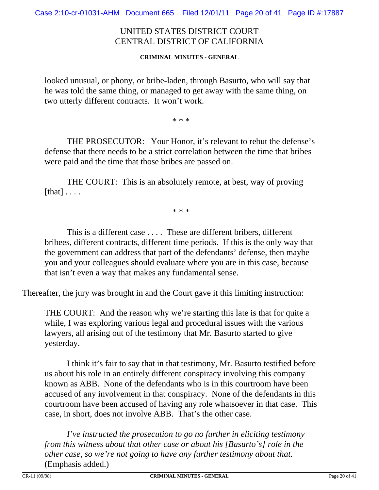#### **CRIMINAL MINUTES - GENERAL**

looked unusual, or phony, or bribe-laden, through Basurto, who will say that he was told the same thing, or managed to get away with the same thing, on two utterly different contracts. It won't work.

\* \* \*

THE PROSECUTOR: Your Honor, it's relevant to rebut the defense's defense that there needs to be a strict correlation between the time that bribes were paid and the time that those bribes are passed on.

THE COURT: This is an absolutely remote, at best, way of proving  $[that] \ldots$ .

\* \* \*

This is a different case . . . . These are different bribers, different bribees, different contracts, different time periods. If this is the only way that the government can address that part of the defendants' defense, then maybe you and your colleagues should evaluate where you are in this case, because that isn't even a way that makes any fundamental sense.

Thereafter, the jury was brought in and the Court gave it this limiting instruction:

THE COURT: And the reason why we're starting this late is that for quite a while, I was exploring various legal and procedural issues with the various lawyers, all arising out of the testimony that Mr. Basurto started to give yesterday.

I think it's fair to say that in that testimony, Mr. Basurto testified before us about his role in an entirely different conspiracy involving this company known as ABB. None of the defendants who is in this courtroom have been accused of any involvement in that conspiracy. None of the defendants in this courtroom have been accused of having any role whatsoever in that case. This case, in short, does not involve ABB. That's the other case.

*I've instructed the prosecution to go no further in eliciting testimony from this witness about that other case or about his [Basurto's] role in the other case, so we're not going to have any further testimony about that.* (Emphasis added.)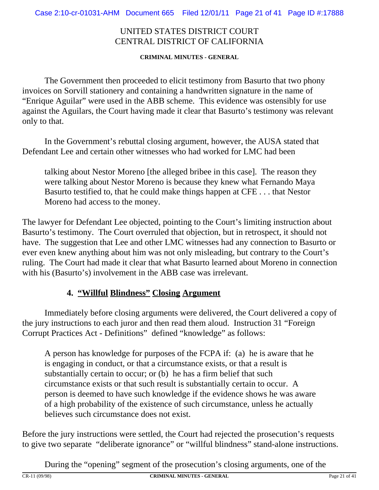**CRIMINAL MINUTES - GENERAL**

The Government then proceeded to elicit testimony from Basurto that two phony invoices on Sorvill stationery and containing a handwritten signature in the name of "Enrique Aguilar" were used in the ABB scheme. This evidence was ostensibly for use against the Aguilars, the Court having made it clear that Basurto's testimony was relevant only to that.

In the Government's rebuttal closing argument, however, the AUSA stated that Defendant Lee and certain other witnesses who had worked for LMC had been

talking about Nestor Moreno [the alleged bribee in this case]. The reason they were talking about Nestor Moreno is because they knew what Fernando Maya Basurto testified to, that he could make things happen at CFE . . . that Nestor Moreno had access to the money.

The lawyer for Defendant Lee objected, pointing to the Court's limiting instruction about Basurto's testimony. The Court overruled that objection, but in retrospect, it should not have. The suggestion that Lee and other LMC witnesses had any connection to Basurto or ever even knew anything about him was not only misleading, but contrary to the Court's ruling. The Court had made it clear that what Basurto learned about Moreno in connection with his (Basurto's) involvement in the ABB case was irrelevant.

## **4. "Willful Blindness" Closing Argument**

Immediately before closing arguments were delivered, the Court delivered a copy of the jury instructions to each juror and then read them aloud. Instruction 31 "Foreign Corrupt Practices Act - Definitions" defined "knowledge" as follows:

A person has knowledge for purposes of the FCPA if: (a) he is aware that he is engaging in conduct, or that a circumstance exists, or that a result is substantially certain to occur; or (b) he has a firm belief that such circumstance exists or that such result is substantially certain to occur. A person is deemed to have such knowledge if the evidence shows he was aware of a high probability of the existence of such circumstance, unless he actually believes such circumstance does not exist.

Before the jury instructions were settled, the Court had rejected the prosecution's requests to give two separate "deliberate ignorance" or "willful blindness" stand-alone instructions.

During the "opening" segment of the prosecution's closing arguments, one of the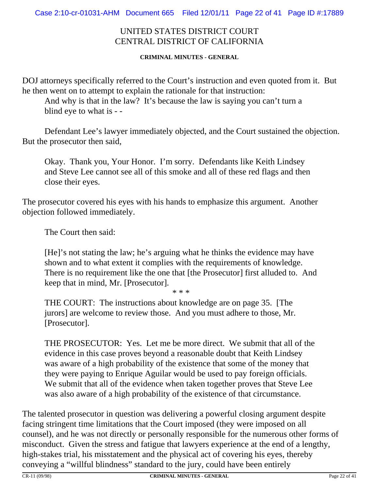#### **CRIMINAL MINUTES - GENERAL**

DOJ attorneys specifically referred to the Court's instruction and even quoted from it. But he then went on to attempt to explain the rationale for that instruction:

And why is that in the law? It's because the law is saying you can't turn a blind eye to what is - -

Defendant Lee's lawyer immediately objected, and the Court sustained the objection. But the prosecutor then said,

Okay. Thank you, Your Honor. I'm sorry. Defendants like Keith Lindsey and Steve Lee cannot see all of this smoke and all of these red flags and then close their eyes.

The prosecutor covered his eyes with his hands to emphasize this argument. Another objection followed immediately.

The Court then said:

[He]'s not stating the law; he's arguing what he thinks the evidence may have shown and to what extent it complies with the requirements of knowledge. There is no requirement like the one that [the Prosecutor] first alluded to. And keep that in mind, Mr. [Prosecutor].

\* \* \*

THE COURT: The instructions about knowledge are on page 35. [The jurors] are welcome to review those. And you must adhere to those, Mr. [Prosecutor].

THE PROSECUTOR: Yes. Let me be more direct. We submit that all of the evidence in this case proves beyond a reasonable doubt that Keith Lindsey was aware of a high probability of the existence that some of the money that they were paying to Enrique Aguilar would be used to pay foreign officials. We submit that all of the evidence when taken together proves that Steve Lee was also aware of a high probability of the existence of that circumstance.

The talented prosecutor in question was delivering a powerful closing argument despite facing stringent time limitations that the Court imposed (they were imposed on all counsel), and he was not directly or personally responsible for the numerous other forms of misconduct. Given the stress and fatigue that lawyers experience at the end of a lengthy, high-stakes trial, his misstatement and the physical act of covering his eyes, thereby conveying a "willful blindness" standard to the jury, could have been entirely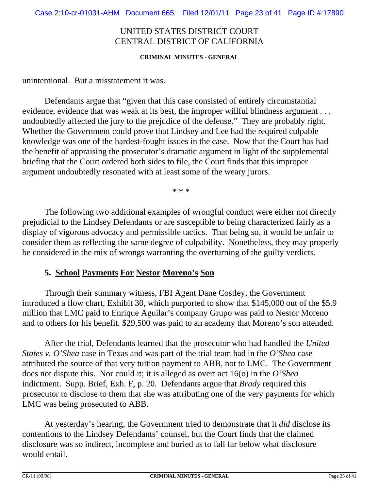#### **CRIMINAL MINUTES - GENERAL**

unintentional. But a misstatement it was.

Defendants argue that "given that this case consisted of entirely circumstantial evidence, evidence that was weak at its best, the improper willful blindness argument . . . undoubtedly affected the jury to the prejudice of the defense." They are probably right. Whether the Government could prove that Lindsey and Lee had the required culpable knowledge was one of the hardest-fought issues in the case. Now that the Court has had the benefit of appraising the prosecutor's dramatic argument in light of the supplemental briefing that the Court ordered both sides to file, the Court finds that this improper argument undoubtedly resonated with at least some of the weary jurors.

\* \* \*

The following two additional examples of wrongful conduct were either not directly prejudicial to the Lindsey Defendants or are susceptible to being characterized fairly as a display of vigorous advocacy and permissible tactics. That being so, it would be unfair to consider them as reflecting the same degree of culpability. Nonetheless, they may properly be considered in the mix of wrongs warranting the overturning of the guilty verdicts.

#### **5. School Payments For Nestor Moreno's Son**

Through their summary witness, FBI Agent Dane Costley, the Government introduced a flow chart, Exhibit 30, which purported to show that \$145,000 out of the \$5.9 million that LMC paid to Enrique Aguilar's company Grupo was paid to Nestor Moreno and to others for his benefit. \$29,500 was paid to an academy that Moreno's son attended.

After the trial, Defendants learned that the prosecutor who had handled the *United States v. O'Shea* case in Texas and was part of the trial team had in the *O'Shea* case attributed the source of that very tuition payment to ABB, not to LMC. The Government does not dispute this. Nor could it; it is alleged as overt act 16(o) in the *O'Shea* indictment. Supp. Brief, Exh. F, p. 20. Defendants argue that *Brady* required this prosecutor to disclose to them that she was attributing one of the very payments for which LMC was being prosecuted to ABB.

At yesterday's hearing, the Government tried to demonstrate that it *did* disclose its contentions to the Lindsey Defendants' counsel, but the Court finds that the claimed disclosure was so indirect, incomplete and buried as to fall far below what disclosure would entail.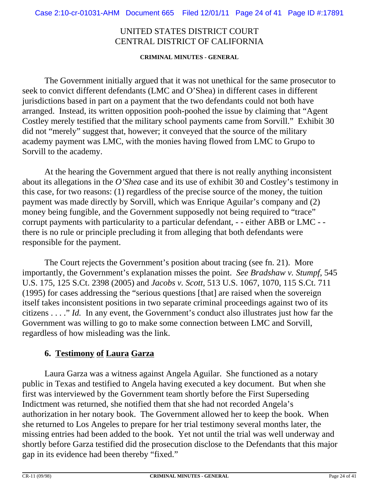**CRIMINAL MINUTES - GENERAL**

The Government initially argued that it was not unethical for the same prosecutor to seek to convict different defendants (LMC and O'Shea) in different cases in different jurisdictions based in part on a payment that the two defendants could not both have arranged. Instead, its written opposition pooh-poohed the issue by claiming that "Agent Costley merely testified that the military school payments came from Sorvill." Exhibit 30 did not "merely" suggest that, however; it conveyed that the source of the military academy payment was LMC, with the monies having flowed from LMC to Grupo to Sorvill to the academy.

At the hearing the Government argued that there is not really anything inconsistent about its allegations in the *O'Shea* case and its use of exhibit 30 and Costley's testimony in this case, for two reasons: (1) regardless of the precise source of the money, the tuition payment was made directly by Sorvill, which was Enrique Aguilar's company and (2) money being fungible, and the Government supposedly not being required to "trace" corrupt payments with particularity to a particular defendant, - - either ABB or LMC - there is no rule or principle precluding it from alleging that both defendants were responsible for the payment.

The Court rejects the Government's position about tracing (see fn. 21). More importantly, the Government's explanation misses the point. *See Bradshaw v. Stumpf*, 545 U.S. 175, 125 S.Ct. 2398 (2005) and *Jacobs v. Scott*, 513 U.S. 1067, 1070, 115 S.Ct. 711 (1995) for cases addressing the "serious questions [that] are raised when the sovereign itself takes inconsistent positions in two separate criminal proceedings against two of its citizens . . . ." *Id.* In any event, the Government's conduct also illustrates just how far the Government was willing to go to make some connection between LMC and Sorvill, regardless of how misleading was the link.

## **6. Testimony of Laura Garza**

Laura Garza was a witness against Angela Aguilar. She functioned as a notary public in Texas and testified to Angela having executed a key document. But when she first was interviewed by the Government team shortly before the First Superseding Indictment was returned, she notified them that she had not recorded Angela's authorization in her notary book. The Government allowed her to keep the book. When she returned to Los Angeles to prepare for her trial testimony several months later, the missing entries had been added to the book. Yet not until the trial was well underway and shortly before Garza testified did the prosecution disclose to the Defendants that this major gap in its evidence had been thereby "fixed."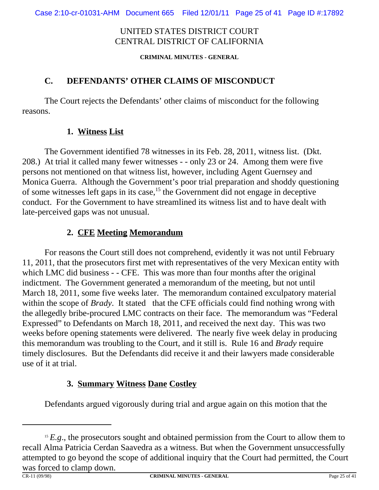**CRIMINAL MINUTES - GENERAL**

## **C. DEFENDANTS' OTHER CLAIMS OF MISCONDUCT**

The Court rejects the Defendants' other claims of misconduct for the following reasons.

## **1. Witness List**

The Government identified 78 witnesses in its Feb. 28, 2011, witness list. (Dkt. 208.) At trial it called many fewer witnesses - - only 23 or 24. Among them were five persons not mentioned on that witness list, however, including Agent Guernsey and Monica Guerra. Although the Government's poor trial preparation and shoddy questioning of some witnesses left gaps in its case,15 the Government did not engage in deceptive conduct. For the Government to have streamlined its witness list and to have dealt with late-perceived gaps was not unusual.

## **2. CFE Meeting Memorandum**

For reasons the Court still does not comprehend, evidently it was not until February 11, 2011, that the prosecutors first met with representatives of the very Mexican entity with which LMC did business - - CFE. This was more than four months after the original indictment. The Government generated a memorandum of the meeting, but not until March 18, 2011, some five weeks later. The memorandum contained exculpatory material within the scope of *Brady*. It stated that the CFE officials could find nothing wrong with the allegedly bribe-procured LMC contracts on their face. The memorandum was "Federal Expressed" to Defendants on March 18, 2011, and received the next day. This was two weeks before opening statements were delivered. The nearly five week delay in producing this memorandum was troubling to the Court, and it still is. Rule 16 and *Brady* require timely disclosures. But the Defendants did receive it and their lawyers made considerable use of it at trial.

# **3. Summary Witness Dane Costley**

Defendants argued vigorously during trial and argue again on this motion that the

<sup>&</sup>lt;sup>15</sup>  $E$ ,  $g$ , the prosecutors sought and obtained permission from the Court to allow them to recall Alma Patricia Cerdan Saavedra as a witness. But when the Government unsuccessfully attempted to go beyond the scope of additional inquiry that the Court had permitted, the Court was forced to clamp down.<br> $CR-11 (09/98)$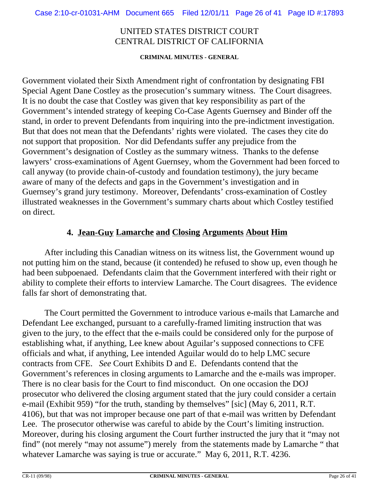**CRIMINAL MINUTES - GENERAL**

Government violated their Sixth Amendment right of confrontation by designating FBI Special Agent Dane Costley as the prosecution's summary witness. The Court disagrees. It is no doubt the case that Costley was given that key responsibility as part of the Government's intended strategy of keeping Co-Case Agents Guernsey and Binder off the stand, in order to prevent Defendants from inquiring into the pre-indictment investigation. But that does not mean that the Defendants' rights were violated. The cases they cite do not support that proposition. Nor did Defendants suffer any prejudice from the Government's designation of Costley as the summary witness. Thanks to the defense lawyers' cross-examinations of Agent Guernsey, whom the Government had been forced to call anyway (to provide chain-of-custody and foundation testimony), the jury became aware of many of the defects and gaps in the Government's investigation and in Guernsey's grand jury testimony. Moreover, Defendants' cross-examination of Costley illustrated weaknesses in the Government's summary charts about which Costley testified on direct.

### **4. Jean-Guy Lamarche and Closing Arguments About Him**

After including this Canadian witness on its witness list, the Government wound up not putting him on the stand, because (it contended) he refused to show up, even though he had been subpoenaed. Defendants claim that the Government interfered with their right or ability to complete their efforts to interview Lamarche. The Court disagrees. The evidence falls far short of demonstrating that.

The Court permitted the Government to introduce various e-mails that Lamarche and Defendant Lee exchanged, pursuant to a carefully-framed limiting instruction that was given to the jury, to the effect that the e-mails could be considered only for the purpose of establishing what, if anything, Lee knew about Aguilar's supposed connections to CFE officials and what, if anything, Lee intended Aguilar would do to help LMC secure contracts from CFE. *See* Court Exhibits D and E. Defendants contend that the Government's references in closing arguments to Lamarche and the e-mails was improper. There is no clear basis for the Court to find misconduct. On one occasion the DOJ prosecutor who delivered the closing argument stated that the jury could consider a certain e-mail (Exhibit 959) "for the truth, standing by themselves" [sic] (May 6, 2011, R.T. 4106), but that was not improper because one part of that e-mail was written by Defendant Lee. The prosecutor otherwise was careful to abide by the Court's limiting instruction. Moreover, during his closing argument the Court further instructed the jury that it "may not find" (not merely "may not assume") merely from the statements made by Lamarche " that whatever Lamarche was saying is true or accurate." May 6, 2011, R.T. 4236.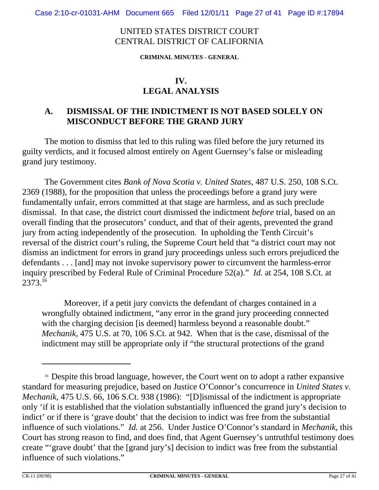**CRIMINAL MINUTES - GENERAL**

# **LEGAL ANALYSIS**

### **A. DISMISSAL OF THE INDICTMENT IS NOT BASED SOLELY ON MISCONDUCT BEFORE THE GRAND JURY**

The motion to dismiss that led to this ruling was filed before the jury returned its guilty verdicts, and it focused almost entirely on Agent Guernsey's false or misleading grand jury testimony.

The Government cites *Bank of Nova Scotia v. United States*, 487 U.S. 250, 108 S.Ct. 2369 (1988), for the proposition that unless the proceedings before a grand jury were fundamentally unfair, errors committed at that stage are harmless, and as such preclude dismissal. In that case, the district court dismissed the indictment *before* trial, based on an overall finding that the prosecutors' conduct, and that of their agents, prevented the grand jury from acting independently of the prosecution. In upholding the Tenth Circuit's reversal of the district court's ruling, the Supreme Court held that "a district court may not dismiss an indictment for errors in grand jury proceedings unless such errors prejudiced the defendants . . . [and] may not invoke supervisory power to circumvent the harmless-error inquiry prescribed by Federal Rule of Criminal Procedure 52(a)." *Id.* at 254, 108 S.Ct. at 2373.16

Moreover, if a petit jury convicts the defendant of charges contained in a wrongfully obtained indictment, "any error in the grand jury proceeding connected with the charging decision [is deemed] harmless beyond a reasonable doubt." *Mechanik,* 475 U.S. at 70, 106 S.Ct. at 942. When that is the case, dismissal of the indictment may still be appropriate only if "the structural protections of the grand

<sup>&</sup>lt;sup>16</sup> Despite this broad language, however, the Court went on to adopt a rather expansive standard for measuring prejudice, based on Justice O'Connor's concurrence in *United States v. Mechanik*, 475 U.S. 66, 106 S.Ct. 938 (1986): "[D]ismissal of the indictment is appropriate only 'if it is established that the violation substantially influenced the grand jury's decision to indict' or if there is 'grave doubt' that the decision to indict was free from the substantial influence of such violations." *Id.* at 256. Under Justice O'Connor's standard in *Mechanik,* this Court has strong reason to find, and does find, that Agent Guernsey's untruthful testimony does create "'grave doubt' that the [grand jury's] decision to indict was free from the substantial influence of such violations."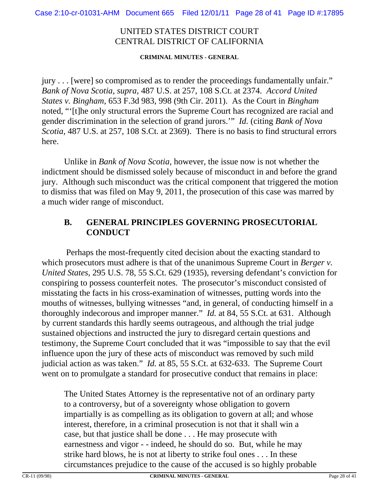#### **CRIMINAL MINUTES - GENERAL**

jury . . . [were] so compromised as to render the proceedings fundamentally unfair." *Bank of Nova Scotia, supra*, 487 U.S. at 257, 108 S.Ct. at 2374. *Accord United States v. Bingham*, 653 F.3d 983, 998 (9th Cir. 2011). As the Court in *Bingham* noted, "'[t]he only structural errors the Supreme Court has recognized are racial and gender discrimination in the selection of grand jurors.'" *Id.* (citing *Bank of Nova Scotia,* 487 U.S. at 257, 108 S.Ct. at 2369). There is no basis to find structural errors here.

Unlike in *Bank of Nova Scotia,* however, the issue now is not whether the indictment should be dismissed solely because of misconduct in and before the grand jury. Although such misconduct was the critical component that triggered the motion to dismiss that was filed on May 9, 2011, the prosecution of this case was marred by a much wider range of misconduct.

## **B. GENERAL PRINCIPLES GOVERNING PROSECUTORIAL CONDUCT**

 Perhaps the most-frequently cited decision about the exacting standard to which prosecutors must adhere is that of the unanimous Supreme Court in *Berger v. United States*, 295 U.S. 78, 55 S.Ct. 629 (1935), reversing defendant's conviction for conspiring to possess counterfeit notes. The prosecutor's misconduct consisted of misstating the facts in his cross-examination of witnesses, putting words into the mouths of witnesses, bullying witnesses "and, in general, of conducting himself in a thoroughly indecorous and improper manner." *Id.* at 84, 55 S.Ct. at 631. Although by current standards this hardly seems outrageous, and although the trial judge sustained objections and instructed the jury to disregard certain questions and testimony, the Supreme Court concluded that it was "impossible to say that the evil influence upon the jury of these acts of misconduct was removed by such mild judicial action as was taken." *Id.* at 85, 55 S.Ct. at 632-633. The Supreme Court went on to promulgate a standard for prosecutive conduct that remains in place:

The United States Attorney is the representative not of an ordinary party to a controversy, but of a sovereignty whose obligation to govern impartially is as compelling as its obligation to govern at all; and whose interest, therefore, in a criminal prosecution is not that it shall win a case, but that justice shall be done . . . He may prosecute with earnestness and vigor - - indeed, he should do so. But, while he may strike hard blows, he is not at liberty to strike foul ones . . . In these circumstances prejudice to the cause of the accused is so highly probable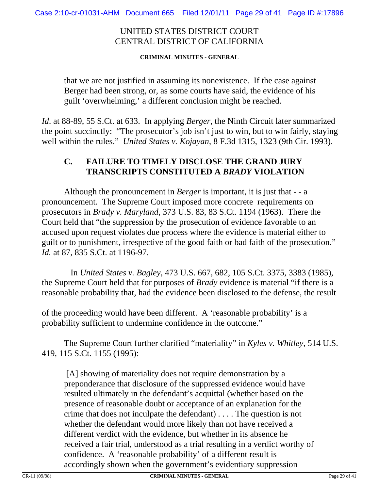**CRIMINAL MINUTES - GENERAL**

that we are not justified in assuming its nonexistence. If the case against Berger had been strong, or, as some courts have said, the evidence of his guilt 'overwhelming,' a different conclusion might be reached.

*Id*. at 88-89, 55 S.Ct. at 633. In applying *Berger*, the Ninth Circuit later summarized the point succinctly: "The prosecutor's job isn't just to win, but to win fairly, staying well within the rules." *United States v. Kojayan*, 8 F.3d 1315, 1323 (9th Cir. 1993).

### **C. FAILURE TO TIMELY DISCLOSE THE GRAND JURY TRANSCRIPTS CONSTITUTED A** *BRADY* **VIOLATION**

Although the pronouncement in *Berger* is important, it is just that - - a pronouncement. The Supreme Court imposed more concrete requirements on prosecutors in *Brady v. Maryland*, 373 U.S. 83, 83 S.Ct. 1194 (1963). There the Court held that "the suppression by the prosecution of evidence favorable to an accused upon request violates due process where the evidence is material either to guilt or to punishment, irrespective of the good faith or bad faith of the prosecution." *Id.* at 87, 835 S.Ct. at 1196-97.

 In *United States v. Bagley*, 473 U.S. 667, 682, 105 S.Ct. 3375, 3383 (1985), the Supreme Court held that for purposes of *Brady* evidence is material "if there is a reasonable probability that, had the evidence been disclosed to the defense, the result

of the proceeding would have been different. A 'reasonable probability' is a probability sufficient to undermine confidence in the outcome."

The Supreme Court further clarified "materiality" in *Kyles v. Whitley*, 514 U.S. 419, 115 S.Ct. 1155 (1995):

[A] showing of materiality does not require demonstration by a preponderance that disclosure of the suppressed evidence would have resulted ultimately in the defendant's acquittal (whether based on the presence of reasonable doubt or acceptance of an explanation for the crime that does not inculpate the defendant) . . . . The question is not whether the defendant would more likely than not have received a different verdict with the evidence, but whether in its absence he received a fair trial, understood as a trial resulting in a verdict worthy of confidence. A 'reasonable probability' of a different result is accordingly shown when the government's evidentiary suppression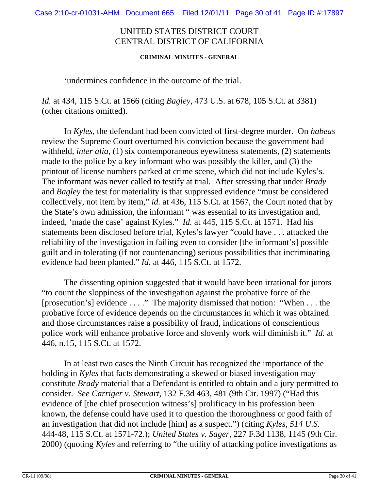#### **CRIMINAL MINUTES - GENERAL**

#### 'undermines confidence in the outcome of the trial.

*Id.* at 434, 115 S.Ct. at 1566 (citing *Bagley*, 473 U.S. at 678, 105 S.Ct. at 3381) (other citations omitted).

In *Kyles*, the defendant had been convicted of first-degree murder. On *habeas* review the Supreme Court overturned his conviction because the government had withheld, *inter alia*, (1) six contemporaneous eyewitness statements, (2) statements made to the police by a key informant who was possibly the killer, and (3) the printout of license numbers parked at crime scene, which did not include Kyles's*.* The informant was never called to testify at trial. After stressing that under *Brady* and *Bagley* the test for materiality is that suppressed evidence "must be considered collectively, not item by item," *id.* at 436, 115 S.Ct. at 1567, the Court noted that by the State's own admission, the informant " was essential to its investigation and, indeed, 'made the case' against Kyles." *Id.* at 445, 115 S.Ct. at 1571. Had his statements been disclosed before trial, Kyles's lawyer "could have . . . attacked the reliability of the investigation in failing even to consider [the informant's] possible guilt and in tolerating (if not countenancing) serious possibilities that incriminating evidence had been planted." *Id*. at 446, 115 S.Ct. at 1572.

The dissenting opinion suggested that it would have been irrational for jurors "to count the sloppiness of the investigation against the probative force of the [prosecution's] evidence . . . ." The majority dismissed that notion: "When . . . the probative force of evidence depends on the circumstances in which it was obtained and those circumstances raise a possibility of fraud, indications of conscientious police work will enhance probative force and slovenly work will diminish it." *Id.* at 446, n.15, 115 S.Ct. at 1572.

In at least two cases the Ninth Circuit has recognized the importance of the holding in *Kyles* that facts demonstrating a skewed or biased investigation may constitute *Brady* material that a Defendant is entitled to obtain and a jury permitted to consider. *See Carriger v. Stewart*, 132 F.3d 463, 481 (9th Cir. 1997) ("Had this evidence of [the chief prosecution witness's] prolificacy in his profession been known, the defense could have used it to question the thoroughness or good faith of an investigation that did not include [him] as a suspect.") (citing *Kyles, 514 U.S.*  444-48, 115 S.Ct. at 1571-72.); *United States v. Sager*, 227 F.3d 1138, 1145 (9th Cir. 2000) (quoting *Kyles* and referring to "the utility of attacking police investigations as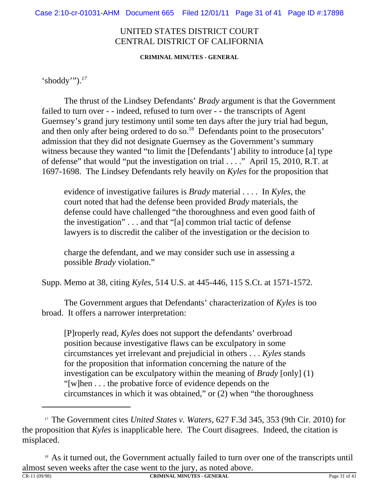**CRIMINAL MINUTES - GENERAL**

'shoddy'").*<sup>17</sup>*

The thrust of the Lindsey Defendants' *Brady* argument is that the Government failed to turn over - - indeed, refused to turn over - - the transcripts of Agent Guernsey's grand jury testimony until some ten days after the jury trial had begun, and then only after being ordered to do so.<sup>18</sup> Defendants point to the prosecutors' admission that they did not designate Guernsey as the Government's summary witness because they wanted "to limit the [Defendants'] ability to introduce [a] type of defense" that would "put the investigation on trial . . . ." April 15, 2010, R.T. at 1697-1698. The Lindsey Defendants rely heavily on *Kyles* for the proposition that

evidence of investigative failures is *Brady* material . . . . In *Kyles*, the court noted that had the defense been provided *Brady* materials, the defense could have challenged "the thoroughness and even good faith of the investigation" . . . and that "[a] common trial tactic of defense lawyers is to discredit the caliber of the investigation or the decision to

charge the defendant, and we may consider such use in assessing a possible *Brady* violation."

Supp. Memo at 38, citing *Kyles*, 514 U.S. at 445-446, 115 S.Ct. at 1571-1572.

The Government argues that Defendants' characterization of *Kyles* is too broad. It offers a narrower interpretation:

[P]roperly read, *Kyles* does not support the defendants' overbroad position because investigative flaws can be exculpatory in some circumstances yet irrelevant and prejudicial in others . . . *Kyles* stands for the proposition that information concerning the nature of the investigation can be exculpatory within the meaning of *Brady* [only] (1) "[w]hen . . . the probative force of evidence depends on the circumstances in which it was obtained," or (2) when "the thoroughness

<sup>17</sup> The Government cites *United States v. Waters*, 627 F.3d 345, 353 (9th Cir. 2010) for the proposition that *Kyles* is inapplicable here. The Court disagrees. Indeed, the citation is misplaced.

<sup>&</sup>lt;sup>18</sup> As it turned out, the Government actually failed to turn over one of the transcripts until almost seven weeks after the case went to the jury, as noted above.<br>
CRIMINAL MINITES, GENERAL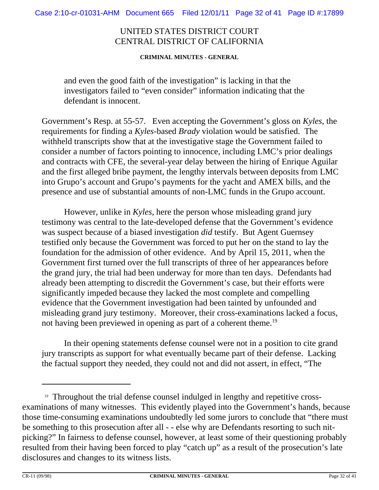#### **CRIMINAL MINUTES - GENERAL**

and even the good faith of the investigation" is lacking in that the investigators failed to "even consider" information indicating that the defendant is innocent.

Government's Resp. at 55-57. Even accepting the Government's gloss on *Kyles*, the requirements for finding a *Kyles*-based *Brady* violation would be satisfied. The withheld transcripts show that at the investigative stage the Government failed to consider a number of factors pointing to innocence, including LMC's prior dealings and contracts with CFE, the several-year delay between the hiring of Enrique Aguilar and the first alleged bribe payment, the lengthy intervals between deposits from LMC into Grupo's account and Grupo's payments for the yacht and AMEX bills, and the presence and use of substantial amounts of non-LMC funds in the Grupo account.

However, unlike in *Kyles,* here the person whose misleading grand jury testimony was central to the late-developed defense that the Government's evidence was suspect because of a biased investigation *did* testify. But Agent Guernsey testified only because the Government was forced to put her on the stand to lay the foundation for the admission of other evidence. And by April 15, 2011, when the Government first turned over the full transcripts of three of her appearances before the grand jury, the trial had been underway for more than ten days. Defendants had already been attempting to discredit the Government's case, but their efforts were significantly impeded because they lacked the most complete and compelling evidence that the Government investigation had been tainted by unfounded and misleading grand jury testimony. Moreover, their cross-examinations lacked a focus, not having been previewed in opening as part of a coherent theme.<sup>19</sup>

In their opening statements defense counsel were not in a position to cite grand jury transcripts as support for what eventually became part of their defense. Lacking the factual support they needed, they could not and did not assert, in effect, "The

<sup>&</sup>lt;sup>19</sup> Throughout the trial defense counsel indulged in lengthy and repetitive crossexaminations of many witnesses. This evidently played into the Government's hands, because those time-consuming examinations undoubtedly led some jurors to conclude that "there must be something to this prosecution after all - - else why are Defendants resorting to such nitpicking?" In fairness to defense counsel, however, at least some of their questioning probably resulted from their having been forced to play "catch up" as a result of the prosecution's late disclosures and changes to its witness lists.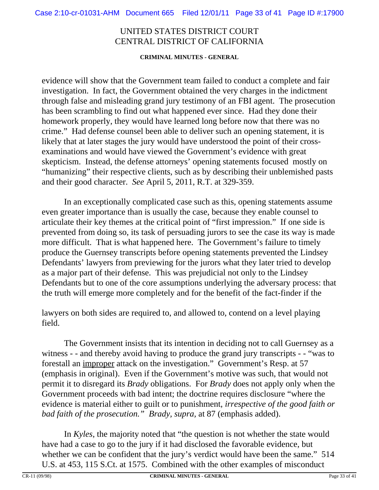#### **CRIMINAL MINUTES - GENERAL**

evidence will show that the Government team failed to conduct a complete and fair investigation. In fact, the Government obtained the very charges in the indictment through false and misleading grand jury testimony of an FBI agent. The prosecution has been scrambling to find out what happened ever since. Had they done their homework properly, they would have learned long before now that there was no crime." Had defense counsel been able to deliver such an opening statement, it is likely that at later stages the jury would have understood the point of their crossexaminations and would have viewed the Government's evidence with great skepticism. Instead, the defense attorneys' opening statements focused mostly on "humanizing" their respective clients, such as by describing their unblemished pasts and their good character. *See* April 5, 2011, R.T. at 329-359.

In an exceptionally complicated case such as this, opening statements assume even greater importance than is usually the case, because they enable counsel to articulate their key themes at the critical point of "first impression." If one side is prevented from doing so, its task of persuading jurors to see the case its way is made more difficult. That is what happened here. The Government's failure to timely produce the Guernsey transcripts before opening statements prevented the Lindsey Defendants' lawyers from previewing for the jurors what they later tried to develop as a major part of their defense. This was prejudicial not only to the Lindsey Defendants but to one of the core assumptions underlying the adversary process: that the truth will emerge more completely and for the benefit of the fact-finder if the

lawyers on both sides are required to, and allowed to, contend on a level playing field.

The Government insists that its intention in deciding not to call Guernsey as a witness - - and thereby avoid having to produce the grand jury transcripts - - "was to forestall an improper attack on the investigation." Government's Resp. at 57 (emphasis in original). Even if the Government's motive was such, that would not permit it to disregard its *Brady* obligations. For *Brady* does not apply only when the Government proceeds with bad intent; the doctrine requires disclosure "where the evidence is material either to guilt or to punishment, *irrespective of the good faith or bad faith of the prosecution." Brady, supra,* at 87 (emphasis added).

In *Kyles*, the majority noted that "the question is not whether the state would have had a case to go to the jury if it had disclosed the favorable evidence, but whether we can be confident that the jury's verdict would have been the same." 514 U.S. at 453, 115 S.Ct. at 1575. Combined with the other examples of misconduct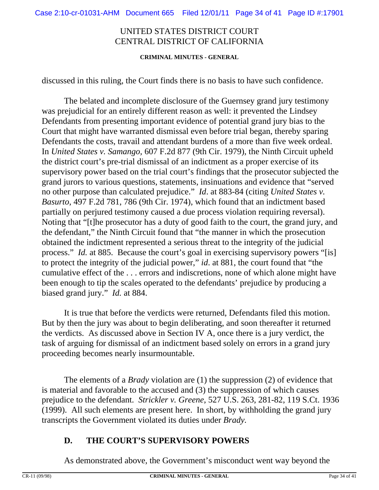#### **CRIMINAL MINUTES - GENERAL**

discussed in this ruling, the Court finds there is no basis to have such confidence.

The belated and incomplete disclosure of the Guernsey grand jury testimony was prejudicial for an entirely different reason as well: it prevented the Lindsey Defendants from presenting important evidence of potential grand jury bias to the Court that might have warranted dismissal even before trial began, thereby sparing Defendants the costs, travail and attendant burdens of a more than five week ordeal. In *United States v. Samango,* 607 F.2d 877 (9th Cir. 1979), the Ninth Circuit upheld the district court's pre-trial dismissal of an indictment as a proper exercise of its supervisory power based on the trial court's findings that the prosecutor subjected the grand jurors to various questions, statements, insinuations and evidence that "served no other purpose than calculated prejudice." *Id*. at 883-84 (citing *United States v. Basurto*, 497 F.2d 781, 786 (9th Cir. 1974), which found that an indictment based partially on perjured testimony caused a due process violation requiring reversal). Noting that "[t]he prosecutor has a duty of good faith to the court, the grand jury, and the defendant," the Ninth Circuit found that "the manner in which the prosecution obtained the indictment represented a serious threat to the integrity of the judicial process." *Id.* at 885. Because the court's goal in exercising supervisory powers "[is] to protect the integrity of the judicial power," *id*. at 881, the court found that "the cumulative effect of the . . . errors and indiscretions, none of which alone might have been enough to tip the scales operated to the defendants' prejudice by producing a biased grand jury." *Id.* at 884.

It is true that before the verdicts were returned, Defendants filed this motion. But by then the jury was about to begin deliberating, and soon thereafter it returned the verdicts. As discussed above in Section IV A, once there is a jury verdict, the task of arguing for dismissal of an indictment based solely on errors in a grand jury proceeding becomes nearly insurmountable.

The elements of a *Brady* violation are (1) the suppression (2) of evidence that is material and favorable to the accused and (3) the suppression of which causes prejudice to the defendant. *Strickler v. Greene*, 527 U.S. 263, 281-82, 119 S.Ct. 1936 (1999). All such elements are present here. In short, by withholding the grand jury transcripts the Government violated its duties under *Brady.*

## **D. THE COURT'S SUPERVISORY POWERS**

As demonstrated above, the Government's misconduct went way beyond the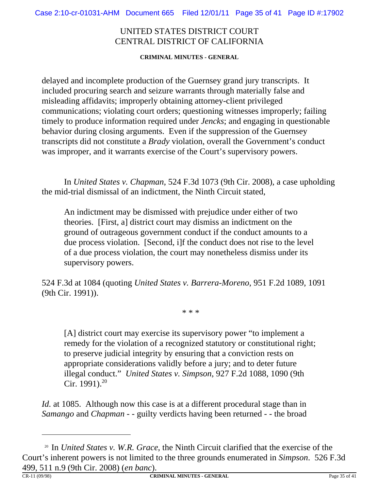**CRIMINAL MINUTES - GENERAL**

delayed and incomplete production of the Guernsey grand jury transcripts. It included procuring search and seizure warrants through materially false and misleading affidavits; improperly obtaining attorney-client privileged communications; violating court orders; questioning witnesses improperly; failing timely to produce information required under *Jencks*; and engaging in questionable behavior during closing arguments. Even if the suppression of the Guernsey transcripts did not constitute a *Brady* violation, overall the Government's conduct was improper, and it warrants exercise of the Court's supervisory powers.

In *United States v. Chapman*, 524 F.3d 1073 (9th Cir. 2008), a case upholding the mid-trial dismissal of an indictment, the Ninth Circuit stated,

An indictment may be dismissed with prejudice under either of two theories. [First, a] district court may dismiss an indictment on the ground of outrageous government conduct if the conduct amounts to a due process violation. [Second, i]f the conduct does not rise to the level of a due process violation, the court may nonetheless dismiss under its supervisory powers.

524 F.3d at 1084 (quoting *United States v. Barrera-Moreno*, 951 F.2d 1089, 1091 (9th Cir. 1991)).

\* \* \*

[A] district court may exercise its supervisory power "to implement a remedy for the violation of a recognized statutory or constitutional right; to preserve judicial integrity by ensuring that a conviction rests on appropriate considerations validly before a jury; and to deter future illegal conduct." *United States v. Simpson*, 927 F.2d 1088, 1090 (9th Cir. 1991).<sup>20</sup>

*Id.* at 1085. Although now this case is at a different procedural stage than in *Samango* and *Chapman* - - guilty verdicts having been returned - - the broad

<sup>20</sup> In *United States v. W.R. Grace*, the Ninth Circuit clarified that the exercise of the Court's inherent powers is not limited to the three grounds enumerated in *Simpson*. 526 F.3d 499, 511 n.9 (9th Cir. 2008) (*en banc*).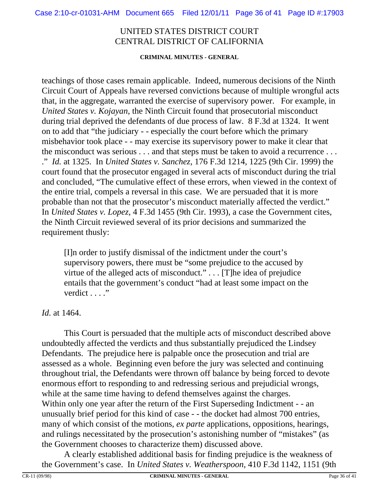#### **CRIMINAL MINUTES - GENERAL**

teachings of those cases remain applicable. Indeed, numerous decisions of the Ninth Circuit Court of Appeals have reversed convictions because of multiple wrongful acts that, in the aggregate, warranted the exercise of supervisory power. For example, in *United States v. Kojayan*, the Ninth Circuit found that prosecutorial misconduct during trial deprived the defendants of due process of law. 8 F.3d at 1324. It went on to add that "the judiciary - - especially the court before which the primary misbehavior took place - - may exercise its supervisory power to make it clear that the misconduct was serious . . . and that steps must be taken to avoid a recurrence . . . ." *Id.* at 1325. In *United States v. Sanchez*, 176 F.3d 1214, 1225 (9th Cir. 1999) the court found that the prosecutor engaged in several acts of misconduct during the trial and concluded, "The cumulative effect of these errors, when viewed in the context of the entire trial, compels a reversal in this case. We are persuaded that it is more probable than not that the prosecutor's misconduct materially affected the verdict." In *United States v. Lopez*, 4 F.3d 1455 (9th Cir. 1993), a case the Government cites, the Ninth Circuit reviewed several of its prior decisions and summarized the requirement thusly:

[I]n order to justify dismissal of the indictment under the court's supervisory powers, there must be "some prejudice to the accused by virtue of the alleged acts of misconduct." . . . [T]he idea of prejudice entails that the government's conduct "had at least some impact on the verdict . . . ."

#### *Id.* at 1464.

This Court is persuaded that the multiple acts of misconduct described above undoubtedly affected the verdicts and thus substantially prejudiced the Lindsey Defendants. The prejudice here is palpable once the prosecution and trial are assessed as a whole. Beginning even before the jury was selected and continuing throughout trial, the Defendants were thrown off balance by being forced to devote enormous effort to responding to and redressing serious and prejudicial wrongs, while at the same time having to defend themselves against the charges. Within only one year after the return of the First Superseding Indictment - - an unusually brief period for this kind of case - - the docket had almost 700 entries, many of which consist of the motions, *ex parte* applications, oppositions, hearings, and rulings necessitated by the prosecution's astonishing number of "mistakes" (as the Government chooses to characterize them) discussed above.

A clearly established additional basis for finding prejudice is the weakness of the Government's case. In *United States v. Weatherspoon*, 410 F.3d 1142, 1151 (9th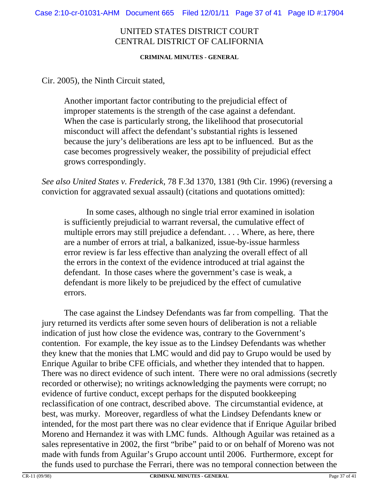#### **CRIMINAL MINUTES - GENERAL**

Cir. 2005), the Ninth Circuit stated,

Another important factor contributing to the prejudicial effect of improper statements is the strength of the case against a defendant. When the case is particularly strong, the likelihood that prosecutorial misconduct will affect the defendant's substantial rights is lessened because the jury's deliberations are less apt to be influenced. But as the case becomes progressively weaker, the possibility of prejudicial effect grows correspondingly.

*See also United States v. Frederick*, 78 F.3d 1370, 1381 (9th Cir. 1996) (reversing a conviction for aggravated sexual assault) (citations and quotations omitted):

In some cases, although no single trial error examined in isolation is sufficiently prejudicial to warrant reversal, the cumulative effect of multiple errors may still prejudice a defendant. . . . Where, as here, there are a number of errors at trial, a balkanized, issue-by-issue harmless error review is far less effective than analyzing the overall effect of all the errors in the context of the evidence introduced at trial against the defendant. In those cases where the government's case is weak, a defendant is more likely to be prejudiced by the effect of cumulative errors.

The case against the Lindsey Defendants was far from compelling. That the jury returned its verdicts after some seven hours of deliberation is not a reliable indication of just how close the evidence was, contrary to the Government's contention. For example, the key issue as to the Lindsey Defendants was whether they knew that the monies that LMC would and did pay to Grupo would be used by Enrique Aguilar to bribe CFE officials, and whether they intended that to happen. There was no direct evidence of such intent. There were no oral admissions (secretly recorded or otherwise); no writings acknowledging the payments were corrupt; no evidence of furtive conduct, except perhaps for the disputed bookkeeping reclassification of one contract, described above. The circumstantial evidence, at best, was murky. Moreover, regardless of what the Lindsey Defendants knew or intended, for the most part there was no clear evidence that if Enrique Aguilar bribed Moreno and Hernandez it was with LMC funds. Although Aguilar was retained as a sales representative in 2002, the first "bribe" paid to or on behalf of Moreno was not made with funds from Aguilar's Grupo account until 2006. Furthermore, except for the funds used to purchase the Ferrari, there was no temporal connection between the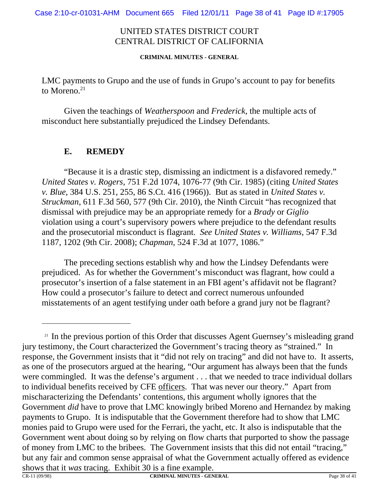**CRIMINAL MINUTES - GENERAL**

LMC payments to Grupo and the use of funds in Grupo's account to pay for benefits to Moreno. $21$ 

Given the teachings of *Weatherspoon* and *Frederick*, the multiple acts of misconduct here substantially prejudiced the Lindsey Defendants.

### **E. REMEDY**

"Because it is a drastic step, dismissing an indictment is a disfavored remedy." *United States v. Rogers,* 751 F.2d 1074, 1076-77 (9th Cir. 1985) (citing *United States v. Blue*, 384 U.S. 251, 255, 86 S.Ct. 416 (1966)). But as stated in *United States v. Struckman*, 611 F.3d 560, 577 (9th Cir. 2010), the Ninth Circuit "has recognized that dismissal with prejudice may be an appropriate remedy for a *Brady* or *Giglio* violation using a court's supervisory powers where prejudice to the defendant results and the prosecutorial misconduct is flagrant. *See United States v. Williams*, 547 F.3d 1187, 1202 (9th Cir. 2008); *Chapman*, 524 F.3d at 1077, 1086."

The preceding sections establish why and how the Lindsey Defendants were prejudiced. As for whether the Government's misconduct was flagrant, how could a prosecutor's insertion of a false statement in an FBI agent's affidavit not be flagrant? How could a prosecutor's failure to detect and correct numerous unfounded misstatements of an agent testifying under oath before a grand jury not be flagrant?

<sup>&</sup>lt;sup>21</sup> In the previous portion of this Order that discusses Agent Guernsey's misleading grand jury testimony, the Court characterized the Government's tracing theory as "strained." In response, the Government insists that it "did not rely on tracing" and did not have to. It asserts, as one of the prosecutors argued at the hearing, "Our argument has always been that the funds were commingled. It was the defense's argument . . . that we needed to trace individual dollars to individual benefits received by CFE officers. That was never our theory." Apart from mischaracterizing the Defendants' contentions, this argument wholly ignores that the Government *did* have to prove that LMC knowingly bribed Moreno and Hernandez by making payments to Grupo. It is indisputable that the Government therefore had to show that LMC monies paid to Grupo were used for the Ferrari, the yacht, etc. It also is indisputable that the Government went about doing so by relying on flow charts that purported to show the passage of money from LMC to the bribees. The Government insists that this did not entail "tracing," but any fair and common sense appraisal of what the Government actually offered as evidence shows that it *was* tracing. Exhibit 30 is a fine example.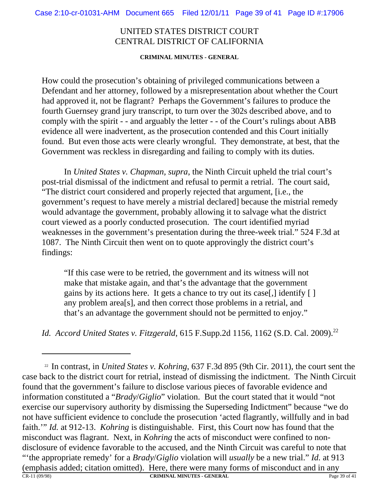**CRIMINAL MINUTES - GENERAL**

How could the prosecution's obtaining of privileged communications between a Defendant and her attorney, followed by a misrepresentation about whether the Court had approved it, not be flagrant? Perhaps the Government's failures to produce the fourth Guernsey grand jury transcript, to turn over the 302s described above, and to comply with the spirit - - and arguably the letter - - of the Court's rulings about ABB evidence all were inadvertent, as the prosecution contended and this Court initially found. But even those acts were clearly wrongful. They demonstrate, at best, that the Government was reckless in disregarding and failing to comply with its duties.

In *United States v. Chapman, supra*, the Ninth Circuit upheld the trial court's post-trial dismissal of the indictment and refusal to permit a retrial. The court said, "The district court considered and properly rejected that argument, [i.e., the government's request to have merely a mistrial declared] because the mistrial remedy would advantage the government, probably allowing it to salvage what the district court viewed as a poorly conducted prosecution. The court identified myriad weaknesses in the government's presentation during the three-week trial." 524 F.3d at 1087. The Ninth Circuit then went on to quote approvingly the district court's findings:

"If this case were to be retried, the government and its witness will not make that mistake again, and that's the advantage that the government gains by its actions here. It gets a chance to try out its case[,] identify [ ] any problem area[s], and then correct those problems in a retrial, and that's an advantage the government should not be permitted to enjoy."

*Id. Accord United States v. Fitzgerald*, 615 F.Supp.2d 1156, 1162 (S.D. Cal. 2009).<sup>22</sup>

<sup>22</sup> In contrast, in *United States v. Kohring*, 637 F.3d 895 (9th Cir. 2011), the court sent the case back to the district court for retrial, instead of dismissing the indictment. The Ninth Circuit found that the government's failure to disclose various pieces of favorable evidence and information constituted a "*Brady*/*Giglio*" violation. But the court stated that it would "not exercise our supervisory authority by dismissing the Superseding Indictment" because "we do not have sufficient evidence to conclude the prosecution 'acted flagrantly, willfully and in bad faith.'" *Id.* at 912-13. *Kohring* is distinguishable. First, this Court now has found that the misconduct was flagrant. Next, in *Kohring* the acts of misconduct were confined to nondisclosure of evidence favorable to the accused, and the Ninth Circuit was careful to note that "'the appropriate remedy' for a *Brady*/*Giglio* violation will *usually* be a new trial." *Id.* at 913 (emphasis added; citation omitted). Here, there were many forms of misconduct and in any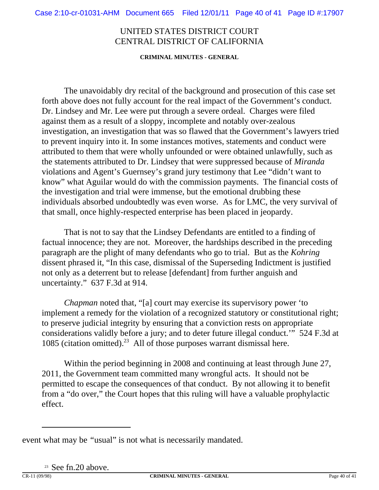**CRIMINAL MINUTES - GENERAL**

The unavoidably dry recital of the background and prosecution of this case set forth above does not fully account for the real impact of the Government's conduct. Dr. Lindsey and Mr. Lee were put through a severe ordeal. Charges were filed against them as a result of a sloppy, incomplete and notably over-zealous investigation, an investigation that was so flawed that the Government's lawyers tried to prevent inquiry into it. In some instances motives, statements and conduct were attributed to them that were wholly unfounded or were obtained unlawfully, such as the statements attributed to Dr. Lindsey that were suppressed because of *Miranda* violations and Agent's Guernsey's grand jury testimony that Lee "didn't want to know" what Aguilar would do with the commission payments. The financial costs of the investigation and trial were immense, but the emotional drubbing these individuals absorbed undoubtedly was even worse. As for LMC, the very survival of that small, once highly-respected enterprise has been placed in jeopardy.

That is not to say that the Lindsey Defendants are entitled to a finding of factual innocence; they are not. Moreover, the hardships described in the preceding paragraph are the plight of many defendants who go to trial. But as the *Kohring* dissent phrased it, "In this case, dismissal of the Superseding Indictment is justified not only as a deterrent but to release [defendant] from further anguish and uncertainty." 637 F.3d at 914.

*Chapman* noted that, "[a] court may exercise its supervisory power 'to implement a remedy for the violation of a recognized statutory or constitutional right; to preserve judicial integrity by ensuring that a conviction rests on appropriate considerations validly before a jury; and to deter future illegal conduct.'" 524 F.3d at 1085 (citation omitted).<sup>23</sup> All of those purposes warrant dismissal here.

Within the period beginning in 2008 and continuing at least through June 27, 2011, the Government team committed many wrongful acts. It should not be permitted to escape the consequences of that conduct. By not allowing it to benefit from a "do over," the Court hopes that this ruling will have a valuable prophylactic effect.

<sup>23</sup> See fn.20 above.

event what may be *"*usual" is not what is necessarily mandated.